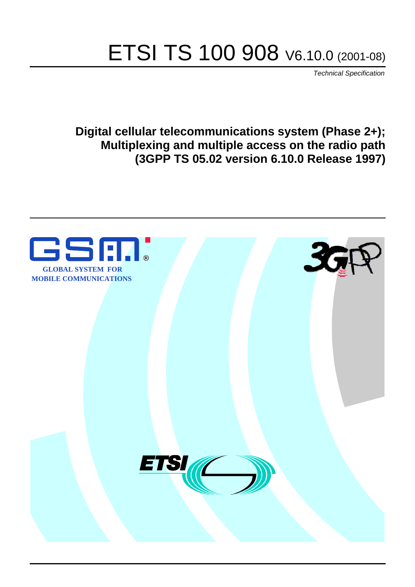# ETSI TS 100 908 V6.10.0 (2001-08)

Technical Specification

**Digital cellular telecommunications system (Phase 2+); Multiplexing and multiple access on the radio path (3GPP TS 05.02 version 6.10.0 Release 1997)**

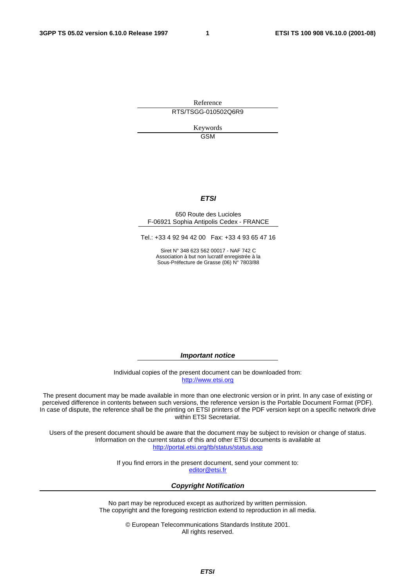Reference RTS/TSGG-010502Q6R9

> Keywords GSM

#### **ETSI**

#### 650 Route des Lucioles F-06921 Sophia Antipolis Cedex - FRANCE

Tel.: +33 4 92 94 42 00 Fax: +33 4 93 65 47 16

Siret N° 348 623 562 00017 - NAF 742 C Association à but non lucratif enregistrée à la Sous-Préfecture de Grasse (06) N° 7803/88

**Important notice** 

Individual copies of the present document can be downloaded from: [http://www.etsi.org](http://www.etsi.org/)

The present document may be made available in more than one electronic version or in print. In any case of existing or perceived difference in contents between such versions, the reference version is the Portable Document Format (PDF). In case of dispute, the reference shall be the printing on ETSI printers of the PDF version kept on a specific network drive within ETSI Secretariat.

Users of the present document should be aware that the document may be subject to revision or change of status. Information on the current status of this and other ETSI documents is available at <http://portal.etsi.org/tb/status/status.asp>

> If you find errors in the present document, send your comment to: [editor@etsi.fr](mailto:editor@etsi.fr)

#### **Copyright Notification**

No part may be reproduced except as authorized by written permission. The copyright and the foregoing restriction extend to reproduction in all media.

> © European Telecommunications Standards Institute 2001. All rights reserved.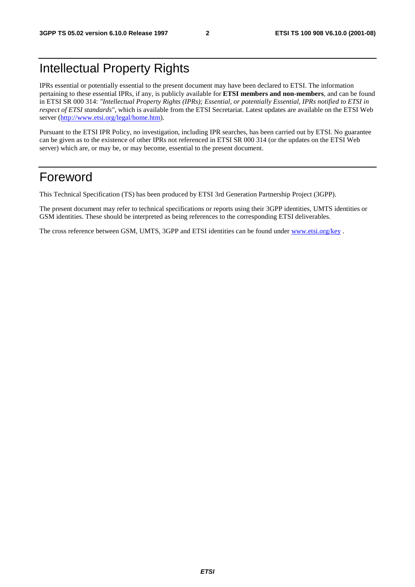## Intellectual Property Rights

IPRs essential or potentially essential to the present document may have been declared to ETSI. The information pertaining to these essential IPRs, if any, is publicly available for **ETSI members and non-members**, and can be found in ETSI SR 000 314: *"Intellectual Property Rights (IPRs); Essential, or potentially Essential, IPRs notified to ETSI in respect of ETSI standards"*, which is available from the ETSI Secretariat. Latest updates are available on the ETSI Web server ([http://www.etsi.org/legal/home.htm\)](http://www.etsi.org/legal/home.htm).

Pursuant to the ETSI IPR Policy, no investigation, including IPR searches, has been carried out by ETSI. No guarantee can be given as to the existence of other IPRs not referenced in ETSI SR 000 314 (or the updates on the ETSI Web server) which are, or may be, or may become, essential to the present document.

### Foreword

This Technical Specification (TS) has been produced by ETSI 3rd Generation Partnership Project (3GPP).

The present document may refer to technical specifications or reports using their 3GPP identities, UMTS identities or GSM identities. These should be interpreted as being references to the corresponding ETSI deliverables.

The cross reference between GSM, UMTS, 3GPP and ETSI identities can be found under [www.etsi.org/key](http://www.etsi.org/key) .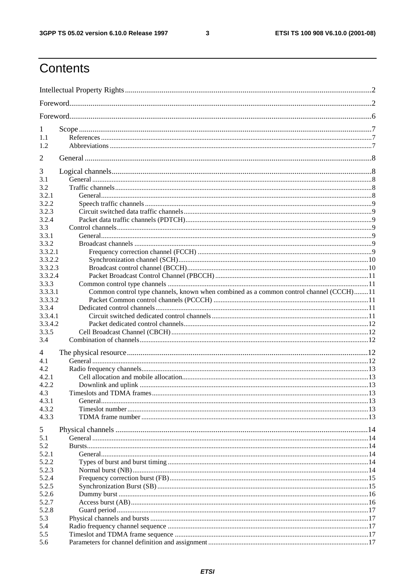$\mathbf{3}$ 

## Contents

| 1       |                                                                                        |  |
|---------|----------------------------------------------------------------------------------------|--|
| 1.1     |                                                                                        |  |
| 1.2     |                                                                                        |  |
| 2       |                                                                                        |  |
| 3       |                                                                                        |  |
| 3.1     |                                                                                        |  |
| 3.2     |                                                                                        |  |
| 3.2.1   |                                                                                        |  |
| 3.2.2   |                                                                                        |  |
| 3.2.3   |                                                                                        |  |
| 3.2.4   |                                                                                        |  |
| 3.3     |                                                                                        |  |
| 3.3.1   |                                                                                        |  |
| 3.3.2   |                                                                                        |  |
| 3.3.2.1 |                                                                                        |  |
| 3.3.2.2 |                                                                                        |  |
| 3.3.2.3 |                                                                                        |  |
| 3.3.2.4 |                                                                                        |  |
| 3.3.3   |                                                                                        |  |
| 3.3.3.1 | Common control type channels, known when combined as a common control channel (CCCH)11 |  |
| 3.3.3.2 |                                                                                        |  |
| 3.3.4   |                                                                                        |  |
| 3.3.4.1 |                                                                                        |  |
| 3.3.4.2 |                                                                                        |  |
| 3.3.5   |                                                                                        |  |
| 3.4     |                                                                                        |  |
| 4       |                                                                                        |  |
| 4.1     |                                                                                        |  |
| 4.2     |                                                                                        |  |
| 4.2.1   |                                                                                        |  |
| 4.2.2   |                                                                                        |  |
| 4.3     |                                                                                        |  |
| 4.3.1   |                                                                                        |  |
| 4.3.2   |                                                                                        |  |
| 4.3.3   |                                                                                        |  |
| 5       |                                                                                        |  |
| 5.1     |                                                                                        |  |
| 5.2     |                                                                                        |  |
| 5.2.1   |                                                                                        |  |
| 5.2.2   |                                                                                        |  |
| 5.2.3   |                                                                                        |  |
| 5.2.4   |                                                                                        |  |
| 5.2.5   |                                                                                        |  |
| 5.2.6   |                                                                                        |  |
| 5.2.7   |                                                                                        |  |
| 5.2.8   |                                                                                        |  |
| 5.3     |                                                                                        |  |
| 5.4     |                                                                                        |  |
| 5.5     |                                                                                        |  |
| 5.6     |                                                                                        |  |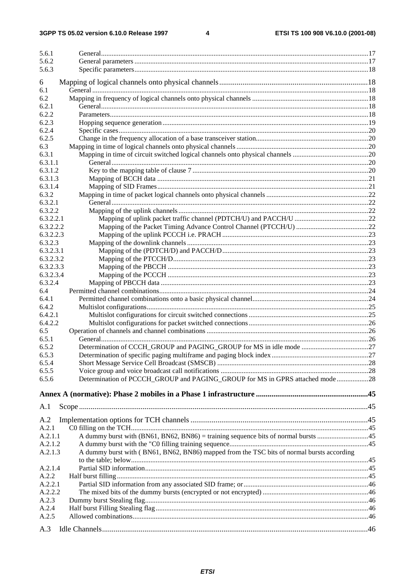#### $\overline{\mathbf{4}}$

| 5.6.1                  |                                                                                           |     |
|------------------------|-------------------------------------------------------------------------------------------|-----|
| 5.6.2                  |                                                                                           |     |
| 5.6.3                  |                                                                                           |     |
| 6                      |                                                                                           |     |
| 6.1                    |                                                                                           |     |
| 6.2                    |                                                                                           |     |
| 6.2.1                  |                                                                                           |     |
| 6.2.2                  |                                                                                           |     |
| 6.2.3                  |                                                                                           |     |
| 6.2.4                  |                                                                                           |     |
| 6.2.5                  |                                                                                           |     |
| 6.3                    |                                                                                           |     |
| 6.3.1                  |                                                                                           |     |
| 6.3.1.1                |                                                                                           |     |
| 6.3.1.2                |                                                                                           |     |
| 6.3.1.3                |                                                                                           |     |
| 6.3.1.4                |                                                                                           |     |
| 6.3.2                  |                                                                                           |     |
| 6.3.2.1                |                                                                                           |     |
| 6.3.2.2                |                                                                                           |     |
| 6.3.2.2.1              |                                                                                           |     |
| 6.3.2.2.2              |                                                                                           |     |
| 6.3.2.2.3              |                                                                                           |     |
| 6.3.2.3                |                                                                                           |     |
| 6.3.2.3.1              |                                                                                           |     |
| 6.3.2.3.2              |                                                                                           |     |
| 6.3.2.3.3<br>6.3.2.3.4 |                                                                                           |     |
| 6.3.2.4                |                                                                                           |     |
| 6.4                    |                                                                                           |     |
| 6.4.1                  |                                                                                           |     |
| 6.4.2                  |                                                                                           |     |
| 6.4.2.1                |                                                                                           |     |
| 6.4.2.2                |                                                                                           |     |
| 6.5                    |                                                                                           |     |
| 6.5.1                  |                                                                                           |     |
| 6.5.2                  |                                                                                           |     |
| 6.5.3                  |                                                                                           |     |
| 6.5.4                  |                                                                                           |     |
| 6.5.5                  |                                                                                           |     |
| 6.5.6                  | Determination of PCCCH_GROUP and PAGING_GROUP for MS in GPRS attached mode28              |     |
|                        |                                                                                           |     |
|                        |                                                                                           |     |
| A.1                    |                                                                                           |     |
| A.2                    |                                                                                           |     |
| A.2.1                  |                                                                                           |     |
| A.2.1.1                |                                                                                           |     |
| A.2.1.2                |                                                                                           |     |
| A.2.1.3                | A dummy burst with (BN61, BN62, BN86) mapped from the TSC bits of normal bursts according |     |
|                        |                                                                                           |     |
| A.2.1.4                |                                                                                           |     |
| A.2.2                  |                                                                                           |     |
| A.2.2.1                |                                                                                           |     |
| A.2.2.2                |                                                                                           |     |
| A.2.3                  |                                                                                           |     |
| A.2.4                  |                                                                                           |     |
| A.2.5                  |                                                                                           |     |
|                        |                                                                                           | .46 |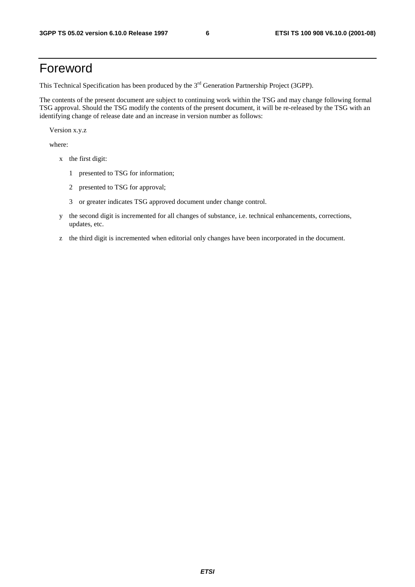## Foreword

This Technical Specification has been produced by the 3<sup>rd</sup> Generation Partnership Project (3GPP).

The contents of the present document are subject to continuing work within the TSG and may change following formal TSG approval. Should the TSG modify the contents of the present document, it will be re-released by the TSG with an identifying change of release date and an increase in version number as follows:

Version x.y.z

where:

- x the first digit:
	- 1 presented to TSG for information;
	- 2 presented to TSG for approval;
	- 3 or greater indicates TSG approved document under change control.
- y the second digit is incremented for all changes of substance, i.e. technical enhancements, corrections, updates, etc.
- z the third digit is incremented when editorial only changes have been incorporated in the document.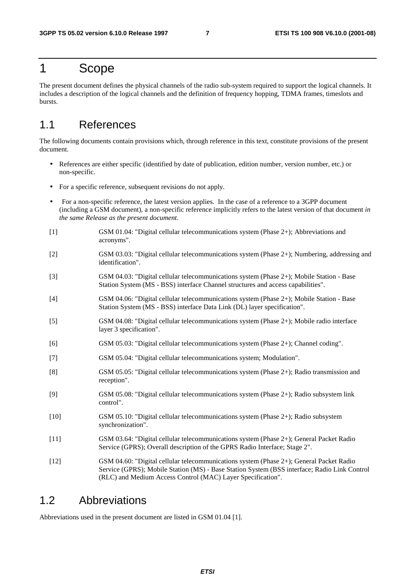### 1 Scope

The present document defines the physical channels of the radio sub-system required to support the logical channels. It includes a description of the logical channels and the definition of frequency hopping, TDMA frames, timeslots and bursts.

### 1.1 References

The following documents contain provisions which, through reference in this text, constitute provisions of the present document.

- References are either specific (identified by date of publication, edition number, version number, etc.) or non-specific.
- For a specific reference, subsequent revisions do not apply.
- For a non-specific reference, the latest version applies. In the case of a reference to a 3GPP document (including a GSM document), a non-specific reference implicitly refers to the latest version of that document *in the same Release as the present document*.
- [1] GSM 01.04: "Digital cellular telecommunications system (Phase 2+); Abbreviations and acronyms".
- [2] GSM 03.03: "Digital cellular telecommunications system (Phase 2+); Numbering, addressing and identification".
- [3] GSM 04.03: "Digital cellular telecommunications system (Phase 2+); Mobile Station Base Station System (MS - BSS) interface Channel structures and access capabilities".
- [4] GSM 04.06: "Digital cellular telecommunications system (Phase 2+); Mobile Station Base Station System (MS - BSS) interface Data Link (DL) layer specification".
- [5] GSM 04.08: "Digital cellular telecommunications system (Phase 2+); Mobile radio interface layer 3 specification".
- [6] GSM 05.03: "Digital cellular telecommunications system (Phase 2+); Channel coding".
- [7] GSM 05.04: "Digital cellular telecommunications system; Modulation".
- [8] GSM 05.05: "Digital cellular telecommunications system (Phase 2+); Radio transmission and reception".
- [9] GSM 05.08: "Digital cellular telecommunications system (Phase 2+); Radio subsystem link control".
- [10] GSM 05.10: "Digital cellular telecommunications system (Phase 2+); Radio subsystem synchronization".
- [11] GSM 03.64: "Digital cellular telecommunications system (Phase 2+); General Packet Radio Service (GPRS); Overall description of the GPRS Radio Interface; Stage 2".
- [12] GSM 04.60: "Digital cellular telecommunications system (Phase 2+); General Packet Radio Service (GPRS); Mobile Station (MS) - Base Station System (BSS interface; Radio Link Control (RLC) and Medium Access Control (MAC) Layer Specification".

### 1.2 Abbreviations

Abbreviations used in the present document are listed in GSM 01.04 [1].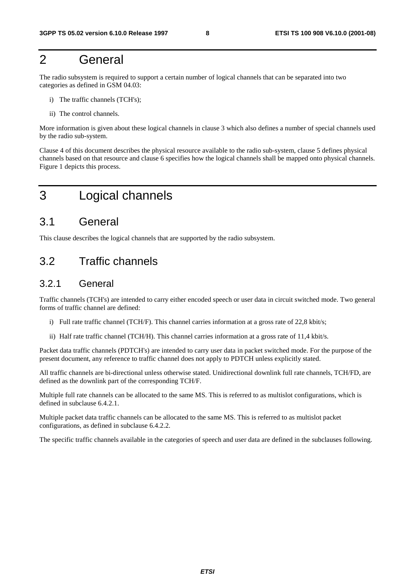## 2 General

The radio subsystem is required to support a certain number of logical channels that can be separated into two categories as defined in GSM 04.03:

- i) The traffic channels (TCH's);
- ii) The control channels.

More information is given about these logical channels in clause 3 which also defines a number of special channels used by the radio sub-system.

Clause 4 of this document describes the physical resource available to the radio sub-system, clause 5 defines physical channels based on that resource and clause 6 specifies how the logical channels shall be mapped onto physical channels. Figure 1 depicts this process.

## 3 Logical channels

### 3.1 General

This clause describes the logical channels that are supported by the radio subsystem.

### 3.2 Traffic channels

### 3.2.1 General

Traffic channels (TCH's) are intended to carry either encoded speech or user data in circuit switched mode. Two general forms of traffic channel are defined:

- i) Full rate traffic channel (TCH/F). This channel carries information at a gross rate of 22,8 kbit/s;
- ii) Half rate traffic channel (TCH/H). This channel carries information at a gross rate of 11,4 kbit/s.

Packet data traffic channels (PDTCH's) are intended to carry user data in packet switched mode. For the purpose of the present document, any reference to traffic channel does not apply to PDTCH unless explicitly stated.

All traffic channels are bi-directional unless otherwise stated. Unidirectional downlink full rate channels, TCH/FD, are defined as the downlink part of the corresponding TCH/F.

Multiple full rate channels can be allocated to the same MS. This is referred to as multislot configurations, which is defined in subclause 6.4.2.1.

Multiple packet data traffic channels can be allocated to the same MS. This is referred to as multislot packet configurations, as defined in subclause 6.4.2.2.

The specific traffic channels available in the categories of speech and user data are defined in the subclauses following.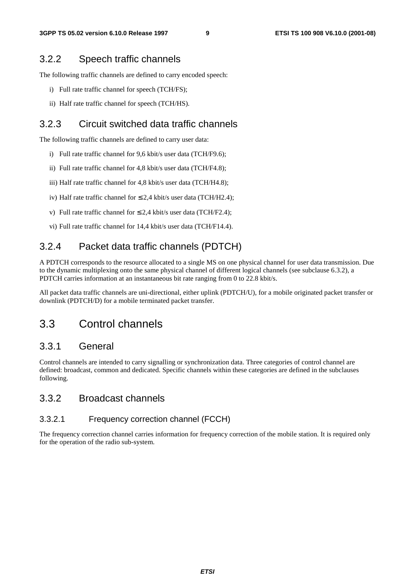### 3.2.2 Speech traffic channels

The following traffic channels are defined to carry encoded speech:

- i) Full rate traffic channel for speech (TCH/FS);
- ii) Half rate traffic channel for speech (TCH/HS).

### 3.2.3 Circuit switched data traffic channels

The following traffic channels are defined to carry user data:

- i) Full rate traffic channel for 9,6 kbit/s user data (TCH/F9.6);
- ii) Full rate traffic channel for 4,8 kbit/s user data (TCH/F4.8);
- iii) Half rate traffic channel for 4,8 kbit/s user data (TCH/H4.8);
- iv) Half rate traffic channel for  $\leq 2.4$  kbit/s user data (TCH/H2.4);
- v) Full rate traffic channel for  $\leq 2.4$  kbit/s user data (TCH/F2.4);
- vi) Full rate traffic channel for 14,4 kbit/s user data (TCH/F14.4).

### 3.2.4 Packet data traffic channels (PDTCH)

A PDTCH corresponds to the resource allocated to a single MS on one physical channel for user data transmission. Due to the dynamic multiplexing onto the same physical channel of different logical channels (see subclause 6.3.2), a PDTCH carries information at an instantaneous bit rate ranging from 0 to 22.8 kbit/s.

All packet data traffic channels are uni-directional, either uplink (PDTCH/U), for a mobile originated packet transfer or downlink (PDTCH/D) for a mobile terminated packet transfer.

### 3.3 Control channels

#### 3.3.1 General

Control channels are intended to carry signalling or synchronization data. Three categories of control channel are defined: broadcast, common and dedicated. Specific channels within these categories are defined in the subclauses following.

#### 3.3.2 Broadcast channels

#### 3.3.2.1 Frequency correction channel (FCCH)

The frequency correction channel carries information for frequency correction of the mobile station. It is required only for the operation of the radio sub-system.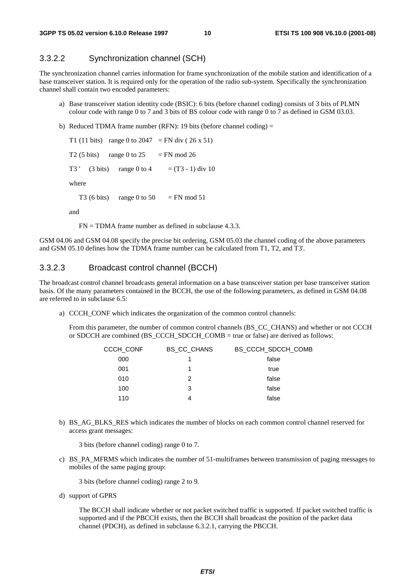### 3.3.2.2 Synchronization channel (SCH)

The synchronization channel carries information for frame synchronization of the mobile station and identification of a base transceiver station. It is required only for the operation of the radio sub-system. Specifically the synchronization channel shall contain two encoded parameters:

- a) Base transceiver station identity code (BSIC): 6 bits (before channel coding) consists of 3 bits of PLMN colour code with range 0 to 7 and 3 bits of BS colour code with range 0 to 7 as defined in GSM 03.03.
- b) Reduced TDMA frame number (RFN): 19 bits (before channel coding) =

T1 (11 bits) range 0 to 2047 = FN div (26 x 51) T2 (5 bits) range 0 to  $25 = FN$  mod 26 T3 ' (3 bits) range 0 to 4 =  $(T3 - 1)$  div 10 where T3 (6 bits) range 0 to 50 = FN mod 51

and

 $FN = TDMA$  frame number as defined in subclause 4.3.3.

GSM 04.06 and GSM 04.08 specify the precise bit ordering, GSM 05.03 the channel coding of the above parameters and GSM 05.10 defines how the TDMA frame number can be calculated from T1, T2, and T3'.

#### 3.3.2.3 Broadcast control channel (BCCH)

The broadcast control channel broadcasts general information on a base transceiver station per base transceiver station basis. Of the many parameters contained in the BCCH, the use of the following parameters, as defined in GSM 04.08 are referred to in subclause 6.5:

a) CCCH\_CONF which indicates the organization of the common control channels:

 From this parameter, the number of common control channels (BS\_CC\_CHANS) and whether or not CCCH or SDCCH are combined (BS\_CCCH\_SDCCH\_COMB = true or false) are derived as follows:

| <b>CCCH CONF</b> | <b>BS CC CHANS</b> | BS CCCH SDCCH COMB |
|------------------|--------------------|--------------------|
| 000              |                    | false              |
| 001              | 1                  | true               |
| 010              | 2                  | false              |
| 100              | 3                  | false              |
| 110              | 4                  | false              |
|                  |                    |                    |

b) BS\_AG\_BLKS\_RES which indicates the number of blocks on each common control channel reserved for access grant messages:

3 bits (before channel coding) range 0 to 7.

c) BS\_PA\_MFRMS which indicates the number of 51-multiframes between transmission of paging messages to mobiles of the same paging group:

3 bits (before channel coding) range 2 to 9.

d) support of GPRS

 The BCCH shall indicate whether or not packet switched traffic is supported. If packet switched traffic is supported and if the PBCCH exists, then the BCCH shall broadcast the position of the packet data channel (PDCH), as defined in subclause 6.3.2.1, carrying the PBCCH.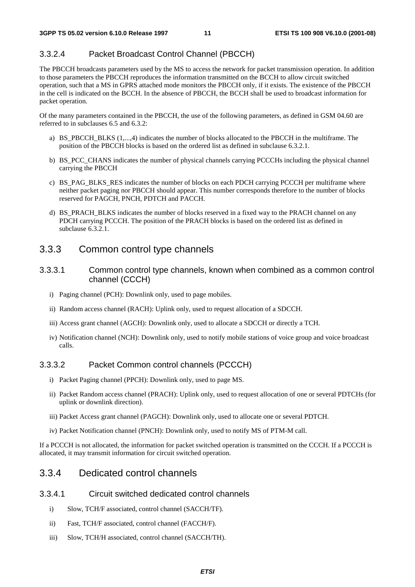#### 3.3.2.4 Packet Broadcast Control Channel (PBCCH)

The PBCCH broadcasts parameters used by the MS to access the network for packet transmission operation. In addition to those parameters the PBCCH reproduces the information transmitted on the BCCH to allow circuit switched operation, such that a MS in GPRS attached mode monitors the PBCCH only, if it exists. The existence of the PBCCH in the cell is indicated on the BCCH. In the absence of PBCCH, the BCCH shall be used to broadcast information for packet operation.

Of the many parameters contained in the PBCCH, the use of the following parameters, as defined in GSM 04.60 are referred to in subclauses 6.5 and 6.3.2:

- a) BS\_PBCCH\_BLKS (1,...,4) indicates the number of blocks allocated to the PBCCH in the multiframe. The position of the PBCCH blocks is based on the ordered list as defined in subclause 6.3.2.1.
- b) BS\_PCC\_CHANS indicates the number of physical channels carrying PCCCHs including the physical channel carrying the PBCCH
- c) BS\_PAG\_BLKS\_RES indicates the number of blocks on each PDCH carrying PCCCH per multiframe where neither packet paging nor PBCCH should appear. This number corresponds therefore to the number of blocks reserved for PAGCH, PNCH, PDTCH and PACCH.
- d) BS\_PRACH\_BLKS indicates the number of blocks reserved in a fixed way to the PRACH channel on any PDCH carrying PCCCH. The position of the PRACH blocks is based on the ordered list as defined in subclause 6.3.2.1.

#### 3.3.3 Common control type channels

- 3.3.3.1 Common control type channels, known when combined as a common control channel (CCCH)
	- i) Paging channel (PCH): Downlink only, used to page mobiles.
	- ii) Random access channel (RACH): Uplink only, used to request allocation of a SDCCH.
	- iii) Access grant channel (AGCH): Downlink only, used to allocate a SDCCH or directly a TCH.
	- iv) Notification channel (NCH): Downlink only, used to notify mobile stations of voice group and voice broadcast calls.

#### 3.3.3.2 Packet Common control channels (PCCCH)

- i) Packet Paging channel (PPCH): Downlink only, used to page MS.
- ii) Packet Random access channel (PRACH): Uplink only, used to request allocation of one or several PDTCHs (for uplink or downlink direction).
- iii) Packet Access grant channel (PAGCH): Downlink only, used to allocate one or several PDTCH.
- iv) Packet Notification channel (PNCH): Downlink only, used to notify MS of PTM-M call.

If a PCCCH is not allocated, the information for packet switched operation is transmitted on the CCCH. If a PCCCH is allocated, it may transmit information for circuit switched operation.

### 3.3.4 Dedicated control channels

#### 3.3.4.1 Circuit switched dedicated control channels

- i) Slow, TCH/F associated, control channel (SACCH/TF).
- ii) Fast, TCH/F associated, control channel (FACCH/F).
- iii) Slow, TCH/H associated, control channel (SACCH/TH).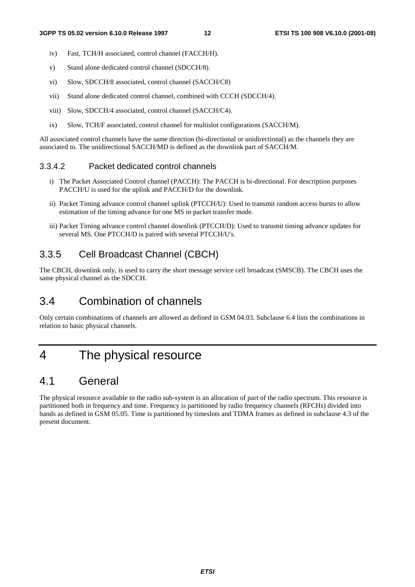- iv) Fast, TCH/H associated, control channel (FACCH/H).
- v) Stand alone dedicated control channel (SDCCH/8).
- vi) Slow, SDCCH/8 associated, control channel (SACCH/C8)
- vii) Stand alone dedicated control channel, combined with CCCH (SDCCH/4).
- viii) Slow, SDCCH/4 associated, control channel (SACCH/C4).
- ix) Slow, TCH/F associated, control channel for multislot configurations (SACCH/M).

All associated control channels have the same direction (bi-directional or unidirectional) as the channels they are associated to. The unidirectional SACCH/MD is defined as the downlink part of SACCH/M.

### 3.3.4.2 Packet dedicated control channels

- i) The Packet Associated Control channel (PACCH): The PACCH is bi-directional. For description purposes PACCH/U is used for the uplink and PACCH/D for the downlink.
- ii) Packet Timing advance control channel uplink (PTCCH/U): Used to transmit random access bursts to allow estimation of the timing advance for one MS in packet transfer mode.
- iii) Packet Timing advance control channel downlink (PTCCH/D): Used to transmit timing advance updates for several MS. One PTCCH/D is paired with several PTCCH/U's.

### 3.3.5 Cell Broadcast Channel (CBCH)

The CBCH, downlink only, is used to carry the short message service cell broadcast (SMSCB). The CBCH uses the same physical channel as the SDCCH.

### 3.4 Combination of channels

Only certain combinations of channels are allowed as defined in GSM 04.03. Subclause 6.4 lists the combinations in relation to basic physical channels.

## 4 The physical resource

### 4.1 General

The physical resource available to the radio sub-system is an allocation of part of the radio spectrum. This resource is partitioned both in frequency and time. Frequency is partitioned by radio frequency channels (RFCHs) divided into bands as defined in GSM 05.05. Time is partitioned by timeslots and TDMA frames as defined in subclause 4.3 of the present document.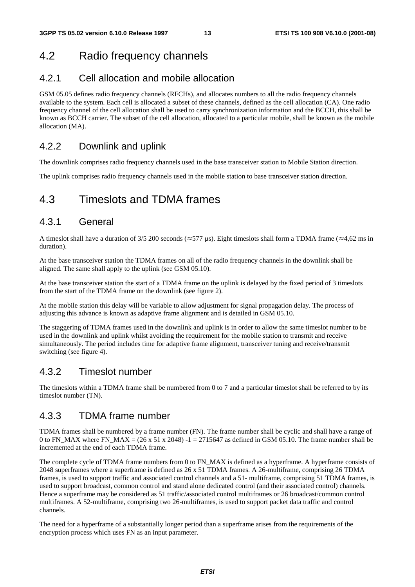## 4.2 Radio frequency channels

### 4.2.1 Cell allocation and mobile allocation

GSM 05.05 defines radio frequency channels (RFCHs), and allocates numbers to all the radio frequency channels available to the system. Each cell is allocated a subset of these channels, defined as the cell allocation (CA). One radio frequency channel of the cell allocation shall be used to carry synchronization information and the BCCH, this shall be known as BCCH carrier. The subset of the cell allocation, allocated to a particular mobile, shall be known as the mobile allocation (MA).

### 4.2.2 Downlink and uplink

The downlink comprises radio frequency channels used in the base transceiver station to Mobile Station direction.

The uplink comprises radio frequency channels used in the mobile station to base transceiver station direction.

### 4.3 Timeslots and TDMA frames

### 4.3.1 General

A timeslot shall have a duration of 3/5 200 seconds ( $\approx$  577 µs). Eight timeslots shall form a TDMA frame ( $\approx$  4,62 ms in duration).

At the base transceiver station the TDMA frames on all of the radio frequency channels in the downlink shall be aligned. The same shall apply to the uplink (see GSM 05.10).

At the base transceiver station the start of a TDMA frame on the uplink is delayed by the fixed period of 3 timeslots from the start of the TDMA frame on the downlink (see figure 2).

At the mobile station this delay will be variable to allow adjustment for signal propagation delay. The process of adjusting this advance is known as adaptive frame alignment and is detailed in GSM 05.10.

The staggering of TDMA frames used in the downlink and uplink is in order to allow the same timeslot number to be used in the downlink and uplink whilst avoiding the requirement for the mobile station to transmit and receive simultaneously. The period includes time for adaptive frame alignment, transceiver tuning and receive/transmit switching (see figure 4).

### 4.3.2 Timeslot number

The timeslots within a TDMA frame shall be numbered from 0 to 7 and a particular timeslot shall be referred to by its timeslot number (TN).

### 4.3.3 TDMA frame number

TDMA frames shall be numbered by a frame number (FN). The frame number shall be cyclic and shall have a range of 0 to FN\_MAX where FN\_MAX =  $(26 \times 51 \times 2048)$  -1 = 2715647 as defined in GSM 05.10. The frame number shall be incremented at the end of each TDMA frame.

The complete cycle of TDMA frame numbers from 0 to FN\_MAX is defined as a hyperframe. A hyperframe consists of 2048 superframes where a superframe is defined as 26 x 51 TDMA frames. A 26-multiframe, comprising 26 TDMA frames, is used to support traffic and associated control channels and a 51- multiframe, comprising 51 TDMA frames, is used to support broadcast, common control and stand alone dedicated control (and their associated control) channels. Hence a superframe may be considered as 51 traffic/associated control multiframes or 26 broadcast/common control multiframes. A 52-multiframe, comprising two 26-multiframes, is used to support packet data traffic and control channels.

The need for a hyperframe of a substantially longer period than a superframe arises from the requirements of the encryption process which uses FN as an input parameter.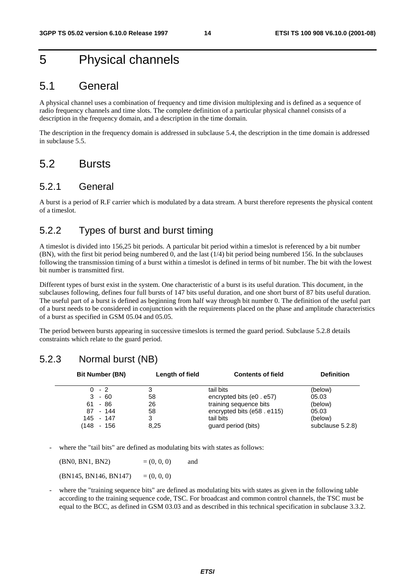## 5 Physical channels

### 5.1 General

A physical channel uses a combination of frequency and time division multiplexing and is defined as a sequence of radio frequency channels and time slots. The complete definition of a particular physical channel consists of a description in the frequency domain, and a description in the time domain.

The description in the frequency domain is addressed in subclause 5.4, the description in the time domain is addressed in subclause 5.5.

### 5.2 Bursts

#### 5.2.1 General

A burst is a period of R.F carrier which is modulated by a data stream. A burst therefore represents the physical content of a timeslot.

### 5.2.2 Types of burst and burst timing

A timeslot is divided into 156,25 bit periods. A particular bit period within a timeslot is referenced by a bit number (BN), with the first bit period being numbered 0, and the last (1/4) bit period being numbered 156. In the subclauses following the transmission timing of a burst within a timeslot is defined in terms of bit number. The bit with the lowest bit number is transmitted first.

Different types of burst exist in the system. One characteristic of a burst is its useful duration. This document, in the subclauses following, defines four full bursts of 147 bits useful duration, and one short burst of 87 bits useful duration. The useful part of a burst is defined as beginning from half way through bit number 0. The definition of the useful part of a burst needs to be considered in conjunction with the requirements placed on the phase and amplitude characteristics of a burst as specified in GSM 05.04 and 05.05.

The period between bursts appearing in successive timeslots is termed the guard period. Subclause 5.2.8 details constraints which relate to the guard period.

### 5.2.3 Normal burst (NB)

|      | <b>Bit Number (BN)</b> | Length of field | <b>Contents of field</b>   | <b>Definition</b> |
|------|------------------------|-----------------|----------------------------|-------------------|
|      | $0 - 2$                |                 | tail bits                  | (below)           |
| 3    | - 60                   | 58              | encrypted bits (e0 . e57)  | 05.03             |
| 61.  | - 86                   | 26              | training sequence bits     | (below)           |
| 87   | - 144                  | 58              | encrypted bits (e58. e115) | 05.03             |
|      | 145 - 147              |                 | tail bits                  | (below)           |
| (148 | - 156                  | 8.25            | guard period (bits)        | subclause 5.2.8)  |

where the "tail bits" are defined as modulating bits with states as follows:

 $(BN0, BN1, BN2)$  =  $(0, 0, 0)$  and  $(BN145, BN146, BN147) = (0, 0, 0)$ 

where the "training sequence bits" are defined as modulating bits with states as given in the following table according to the training sequence code, TSC. For broadcast and common control channels, the TSC must be equal to the BCC, as defined in GSM 03.03 and as described in this technical specification in subclause 3.3.2.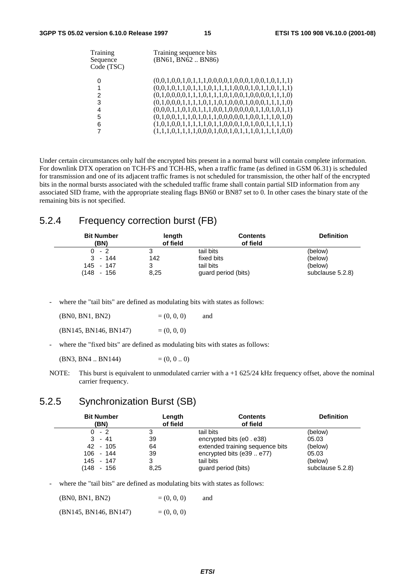| Training<br>Sequence<br>Code (TSC) | Training sequence bits<br>(BN61, BN62BN86)              |
|------------------------------------|---------------------------------------------------------|
|                                    | $(0,0,1,0,0,1,0,1,1,1,0,0,0,0,1,0,0,1,0,0,1,0,1,1,1)$   |
|                                    | $(0,0,1,0,1,1,0,1,1,1,0,1,1,1,1,0,0,0,1,0,1,1,0,1,1,1)$ |
| 2                                  | $(0,1,0,0,0,0,1,1,1,0,1,1,1,0,1,0,0,1,0,0,0,0,1,1,1,0)$ |
| 3                                  | $(0,1,0,0,0,1,1,1,1,0,1,1,0,1,0,0,0,1,0,0,0,1,1,1,1,0)$ |
| 4                                  | $(0,0,0,1,1,0,1,0,1,1,1,0,0,1,0,0,0,0,1,1,0,1,0,1,1)$   |
| 5                                  | $(0,1,0,0,1,1,1,0,1,0,1,1,0,0,0,0,0,1,0,0,1,1,1,0,1,0)$ |
| 6                                  |                                                         |
|                                    | $(1,1,1,0,1,1,1,1,0,0,0,1,0,0,1,0,1,1,1,0,1,1,1,1,0,0)$ |

Under certain circumstances only half the encrypted bits present in a normal burst will contain complete information. For downlink DTX operation on TCH-FS and TCH-HS, when a traffic frame (as defined in GSM 06.31) is scheduled for transmission and one of its adjacent traffic frames is not scheduled for transmission, the other half of the encrypted bits in the normal bursts associated with the scheduled traffic frame shall contain partial SID information from any associated SID frame, with the appropriate stealing flags BN60 or BN87 set to 0. In other cases the binary state of the remaining bits is not specified.

### 5.2.4 Frequency correction burst (FB)

| <b>Bit Number</b><br>(BN) | length<br>of field | <b>Contents</b><br>of field | <b>Definition</b> |
|---------------------------|--------------------|-----------------------------|-------------------|
| $0 - 2$                   |                    | tail bits                   | (below)           |
| $3 - 144$                 | 142                | fixed bits                  | (below)           |
| 145 - 147                 | 3                  | tail bits                   | (below)           |
| (148 - 156                | 8,25               | guard period (bits)         | subclause 5.2.8)  |

- where the "tail bits" are defined as modulating bits with states as follows:

| (BN0, BN1, BN2)       | $= (0, 0, 0)$ | and |
|-----------------------|---------------|-----|
| (BN145, BN146, BN147) | $= (0, 0, 0)$ |     |

where the "fixed bits" are defined as modulating bits with states as follows:

 $(BN3, BN4, BN144)$  = (0, 0, 0)

NOTE: This burst is equivalent to unmodulated carrier with a +1 625/24 kHz frequency offset, above the nominal carrier frequency.

### 5.2.5 Synchronization Burst (SB)

| <b>Bit Number</b><br>(BN) | Length<br>of field | <b>Contents</b><br>of field     | <b>Definition</b> |
|---------------------------|--------------------|---------------------------------|-------------------|
| $0 - 2$                   |                    | tail bits                       | (below)           |
| $3 - 41$                  | 39                 | encrypted bits (e0 . e38)       | 05.03             |
| 42 - 105                  | 64                 | extended training sequence bits | (below)           |
| $106 - 144$               | 39                 | encrypted bits (e39  e77)       | 05.03             |
| 145 - 147                 | 3                  | tail bits                       | (below)           |
| (148 - 156                | 8,25               | guard period (bits)             | subclause 5.2.8)  |

where the "tail bits" are defined as modulating bits with states as follows:

 $(BN0, BN1, BN2)$  =  $(0, 0, 0)$  and  $(BN145, BN146, BN147)$  =  $(0, 0, 0)$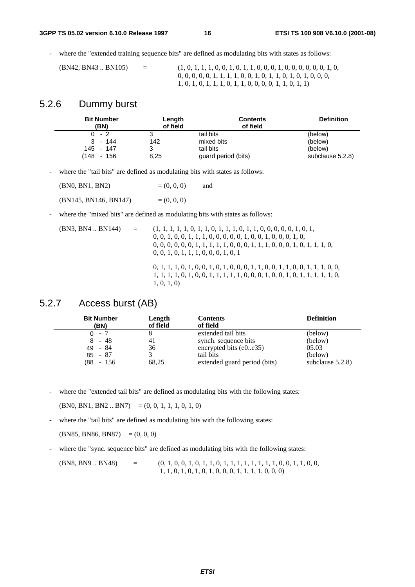where the "extended training sequence bits" are defined as modulating bits with states as follows:

 $(BN42, BN43.. BN105) = (1, 0, 1, 1, 1, 0, 0, 1, 0, 1, 1, 0, 0, 0, 1, 0, 0, 0, 0, 0, 1, 0, 0, 1, 0, 0, 0, 1, 0, 0, 0, 1, 0, 0, 1, 0, 0, 1, 0, 0, 0, 0, 1, 0, 0, 0, 0, 1, 0, 0, 0, 0, 0, 1, 0, 0, 0, 0, 0, 1, 0, 0, 0, 0, 0, 0, 0, 1,$  0, 0, 0, 0, 0, 1, 1, 1, 1, 0, 0, 1, 0, 1, 1, 0, 1, 0, 1, 0, 0, 0, 1, 0, 1, 0, 1, 1, 1, 0, 1, 1, 0, 0, 0, 0, 1, 1, 0, 1, 1)

#### 5.2.6 Dummy burst

| <b>Bit Number</b><br>(BN) | Length<br>of field | <b>Contents</b><br>of field | <b>Definition</b> |
|---------------------------|--------------------|-----------------------------|-------------------|
| 0 - 2                     |                    | tail bits                   | (below)           |
| $3 - 144$                 | 142                | mixed bits                  | (below)           |
| 145 - 147                 |                    | tail bits                   | (below)           |
| (148 - 156                | 8,25               | guard period (bits)         | subclause 5.2.8)  |

where the "tail bits" are defined as modulating bits with states as follows:

 $(BN0, BN1, BN2)$  =  $(0, 0, 0)$  and  $(BN145, BN146, BN147) = (0, 0, 0)$ 

where the "mixed bits" are defined as modulating bits with states as follows:

| (BN3, BN4 BN144) | $\alpha = 1$ | $0, 0, 1, 0, 0, 1, 1, 1, 0, 0, 0, 0, 0, 1, 0, 0, 1, 0, 0, 0, 1, 0,$<br>$0, 0, 0, 0, 0, 0, 1, 1, 1, 1, 1, 0, 0, 0, 1, 1, 1, 0, 0, 0, 1, 0, 1, 1, 1, 0,$<br>0, 0, 1, 0, 1, 1, 1, 0, 0, 0, 1, 0, 1 |
|------------------|--------------|-------------------------------------------------------------------------------------------------------------------------------------------------------------------------------------------------|
|                  |              | $0, 1, 1, 1, 0, 1, 0, 0, 1, 0, 1, 0, 0, 0, 1, 1, 0, 0, 1, 1, 0, 0, 1, 1, 1, 0, 0,$<br>$1, 1, 1, 1, 0, 1, 0, 0, 1, 1, 1, 1, 1, 0, 0, 0, 1, 0, 0, 1, 0, 1, 1, 1, 1, 1, 0,$<br>1, 0, 1, 0          |

### 5.2.7 Access burst (AB)

| <b>Bit Number</b><br>(BN) | Length<br>of field | <b>Contents</b><br>of field  | <b>Definition</b>   |
|---------------------------|--------------------|------------------------------|---------------------|
| $0 - 7$                   |                    | extended tail bits           | (below)             |
| - 48<br>8.                | 41                 | synch. sequence bits         | (below)             |
| $49 - 84$                 | 36                 | encrypted bits $(e0e35)$     | 05.03               |
| $85 - 87$                 |                    | tail bits                    | (below)             |
| $(88 - 156)$              | 68,25              | extended guard period (bits) | subclause $5.2.8$ ) |

- where the "extended tail bits" are defined as modulating bits with the following states:

 $(BN0, BN1, BN2.. BN7) = (0, 0, 1, 1, 1, 0, 1, 0)$ 

where the "tail bits" are defined as modulating bits with the following states:

 $(BN85, BN86, BN87) = (0, 0, 0)$ 

- where the "sync. sequence bits" are defined as modulating bits with the following states:

(BN8, BN9 .. BN48) = (0, 1, 0, 0, 1, 0, 1, 1, 0, 1, 1, 1, 1, 1, 1, 1, 1, 0, 0, 1, 1, 0, 0, 1, 1, 0, 1, 0, 1, 0, 1, 0, 0, 0, 1, 1, 1, 1, 0, 0, 0)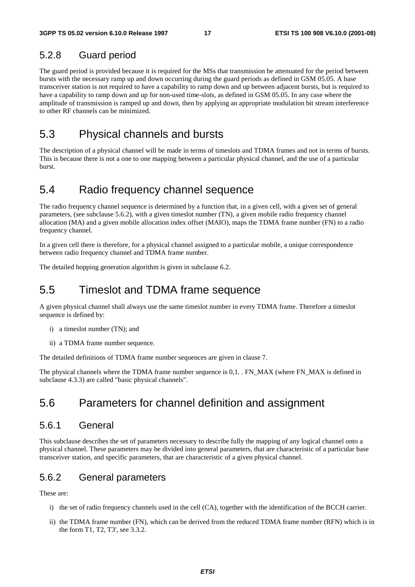### 5.2.8 Guard period

The guard period is provided because it is required for the MSs that transmission be attenuated for the period between bursts with the necessary ramp up and down occurring during the guard periods as defined in GSM 05.05. A base transceiver station is not required to have a capability to ramp down and up between adjacent bursts, but is required to have a capability to ramp down and up for non-used time-slots, as defined in GSM 05.05. In any case where the amplitude of transmission is ramped up and down, then by applying an appropriate modulation bit stream interference to other RF channels can be minimized.

### 5.3 Physical channels and bursts

The description of a physical channel will be made in terms of timeslots and TDMA frames and not in terms of bursts. This is because there is not a one to one mapping between a particular physical channel, and the use of a particular burst.

### 5.4 Radio frequency channel sequence

The radio frequency channel sequence is determined by a function that, in a given cell, with a given set of general parameters, (see subclause 5.6.2), with a given timeslot number (TN), a given mobile radio frequency channel allocation (MA) and a given mobile allocation index offset (MAIO), maps the TDMA frame number (FN) to a radio frequency channel.

In a given cell there is therefore, for a physical channel assigned to a particular mobile, a unique correspondence between radio frequency channel and TDMA frame number.

The detailed hopping generation algorithm is given in subclause 6.2.

### 5.5 Timeslot and TDMA frame sequence

A given physical channel shall always use the same timeslot number in every TDMA frame. Therefore a timeslot sequence is defined by:

- i) a timeslot number (TN); and
- ii) a TDMA frame number sequence.

The detailed definitions of TDMA frame number sequences are given in clause 7.

The physical channels where the TDMA frame number sequence is 0,1. . FN\_MAX (where FN\_MAX is defined in subclause 4.3.3) are called "basic physical channels".

### 5.6 Parameters for channel definition and assignment

#### 5.6.1 General

This subclause describes the set of parameters necessary to describe fully the mapping of any logical channel onto a physical channel. These parameters may be divided into general parameters, that are characteristic of a particular base transceiver station, and specific parameters, that are characteristic of a given physical channel.

### 5.6.2 General parameters

These are:

- i) the set of radio frequency channels used in the cell (CA), together with the identification of the BCCH carrier.
- ii) the TDMA frame number (FN), which can be derived from the reduced TDMA frame number (RFN) which is in the form T1, T2, T3', see 3.3.2.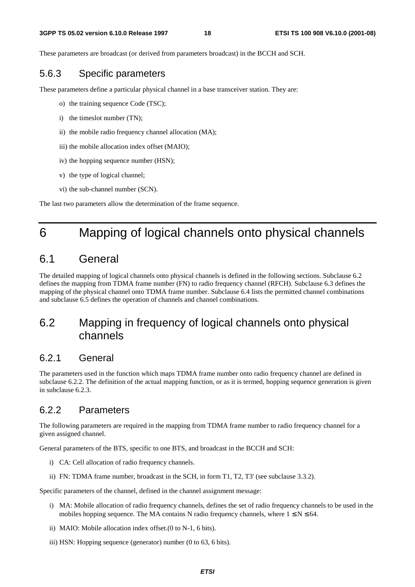These parameters are broadcast (or derived from parameters broadcast) in the BCCH and SCH.

### 5.6.3 Specific parameters

These parameters define a particular physical channel in a base transceiver station. They are:

- o) the training sequence Code (TSC);
- i) the timeslot number (TN);
- ii) the mobile radio frequency channel allocation (MA);
- iii) the mobile allocation index offset (MAIO);
- iv) the hopping sequence number (HSN);
- v) the type of logical channel;
- vi) the sub-channel number (SCN).

The last two parameters allow the determination of the frame sequence.

## 6 Mapping of logical channels onto physical channels

## 6.1 General

The detailed mapping of logical channels onto physical channels is defined in the following sections. Subclause 6.2 defines the mapping from TDMA frame number (FN) to radio frequency channel (RFCH). Subclause 6.3 defines the mapping of the physical channel onto TDMA frame number. Subclause 6.4 lists the permitted channel combinations and subclause 6.5 defines the operation of channels and channel combinations.

### 6.2 Mapping in frequency of logical channels onto physical channels

### 6.2.1 General

The parameters used in the function which maps TDMA frame number onto radio frequency channel are defined in subclause 6.2.2. The definition of the actual mapping function, or as it is termed, hopping sequence generation is given in subclause 6.2.3.

### 6.2.2 Parameters

The following parameters are required in the mapping from TDMA frame number to radio frequency channel for a given assigned channel.

General parameters of the BTS, specific to one BTS, and broadcast in the BCCH and SCH:

- i) CA: Cell allocation of radio frequency channels.
- ii) FN: TDMA frame number, broadcast in the SCH, in form T1, T2, T3' (see subclause 3.3.2).

Specific parameters of the channel, defined in the channel assignment message:

- i) MA: Mobile allocation of radio frequency channels, defines the set of radio frequency channels to be used in the mobiles hopping sequence. The MA contains N radio frequency channels, where  $1 \le N \le 64$ .
- ii) MAIO: Mobile allocation index offset.(0 to N-1, 6 bits).
- iii) HSN: Hopping sequence (generator) number (0 to 63, 6 bits).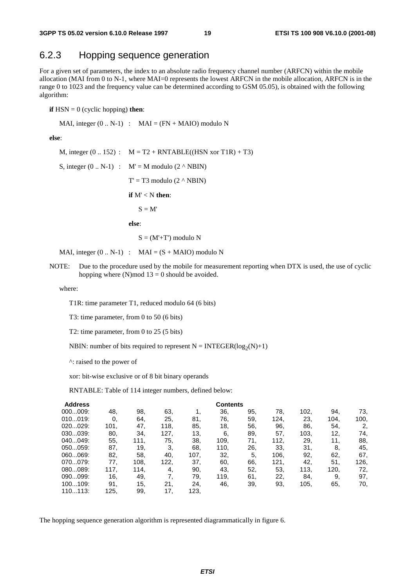### 6.2.3 Hopping sequence generation

For a given set of parameters, the index to an absolute radio frequency channel number (ARFCN) within the mobile allocation (MAI from 0 to N-1, where MAI=0 represents the lowest ARFCN in the mobile allocation, ARFCN is in the range 0 to 1023 and the frequency value can be determined according to GSM 05.05), is obtained with the following algorithm:

**if** HSN = 0 (cyclic hopping) **then**:

MAI, integer  $(0.. N-1)$  : MAI =  $(FN + MAIO)$  modulo N

**else**:

M, integer  $(0.. 152)$  :  $M = T2 + RNTABLE((HSN xor T1R) + T3)$ S, integer  $(0.. N-1)$  :  $M' = M$  modulo  $(2 \wedge NBIN)$  $T' = T3$  modulo  $(2 \land NBIN)$  **if** M' < N **then**:  $S = M'$  **else**:  $S = (M' + T')$  modulo N

MAI, integer  $(0.. N-1)$  : MAI =  $(S + MAIO)$  modulo N

NOTE: Due to the procedure used by the mobile for measurement reporting when DTX is used, the use of cyclic hopping where (N)mod  $13 = 0$  should be avoided.

where:

T1R: time parameter T1, reduced modulo 64 (6 bits)

T3: time parameter, from 0 to 50 (6 bits)

T2: time parameter, from 0 to 25 (5 bits)

NBIN: number of bits required to represent  $N = INTEGR(log_2(N)+1)$ 

^: raised to the power of

xor: bit-wise exclusive or of 8 bit binary operands

RNTABLE: Table of 114 integer numbers, defined below:

| <b>Address</b> |      |      |      |      | <b>Contents</b> |     |      |      |      |      |
|----------------|------|------|------|------|-----------------|-----|------|------|------|------|
| 000009:        | 48.  | 98.  | 63.  |      | 36.             | 95. | 78.  | 102, | 94.  | 73,  |
| 010019:        | 0.   | 64.  | 25,  | 81,  | 76,             | 59, | 124, | 23.  | 104, | 100, |
| 020029:        | 101, | 47.  | 118, | 85,  | 18,             | 56, | 96.  | 86.  | 54.  | 2,   |
| 030039:        | 80.  | 34,  | 127, | 13,  | 6,              | 89. | 57.  | 103, | 12.  | 74,  |
| 040049:        | 55,  | 111. | 75,  | 38.  | 109,            | 71, | 112, | 29.  | 11.  | 88,  |
| 050059:        | 87.  | 19,  | 3.   | 68.  | 110,            | 26. | 33.  | 31.  | 8.   | 45,  |
| 060069:        | 82,  | 58.  | 40.  | 107, | 32.             | 5.  | 106, | 92,  | 62,  | 67,  |
| 070079:        | 77,  | 108. | 122, | 37.  | 60.             | 66. | 121, | 42,  | 51.  | 126, |
| 080089:        | 117. | 114. | 4,   | 90.  | 43.             | 52, | 53.  | 113, | 120, | 72,  |
| 090099:        | 16,  | 49.  | 7.   | 79.  | 119.            | 61, | 22.  | 84.  | 9.   | 97,  |
| 100109:        | 91.  | 15,  | 21.  | 24.  | 46.             | 39. | 93,  | 105, | 65.  | 70,  |
| 110113:        | 125, | 99.  | 17,  | 123, |                 |     |      |      |      |      |

The hopping sequence generation algorithm is represented diagrammatically in figure 6.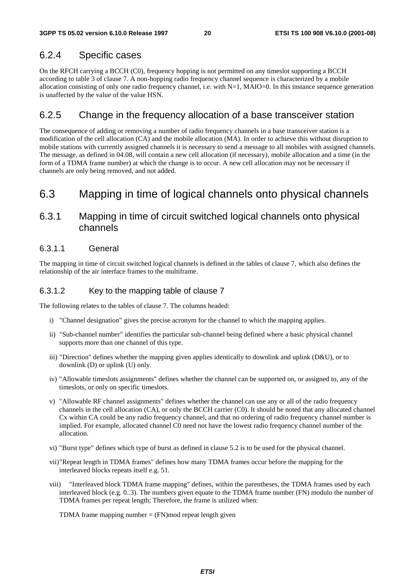### 6.2.4 Specific cases

On the RFCH carrying a BCCH (C0), frequency hopping is not permitted on any timeslot supporting a BCCH according to table 3 of clause 7. A non-hopping radio frequency channel sequence is characterized by a mobile allocation consisting of only one radio frequency channel, i.e. with N=1, MAIO=0. In this instance sequence generation is unaffected by the value of the value HSN.

#### 6.2.5 Change in the frequency allocation of a base transceiver station

The consequence of adding or removing a number of radio frequency channels in a base transceiver station is a modification of the cell allocation (CA) and the mobile allocation (MA). In order to achieve this without disruption to mobile stations with currently assigned channels it is necessary to send a message to all mobiles with assigned channels. The message, as defined in 04.08, will contain a new cell allocation (if necessary), mobile allocation and a time (in the form of a TDMA frame number) at which the change is to occur. A new cell allocation may not be necessary if channels are only being removed, and not added.

### 6.3 Mapping in time of logical channels onto physical channels

### 6.3.1 Mapping in time of circuit switched logical channels onto physical channels

#### 6.3.1.1 General

The mapping in time of circuit switched logical channels is defined in the tables of clause 7, which also defines the relationship of the air interface frames to the multiframe.

#### 6.3.1.2 Key to the mapping table of clause 7

The following relates to the tables of clause 7. The columns headed:

- i) "Channel designation" gives the precise acronym for the channel to which the mapping applies.
- ii) "Sub-channel number" identifies the particular sub-channel being defined where a basic physical channel supports more than one channel of this type.
- iii) "Direction" defines whether the mapping given applies identically to downlink and uplink (D&U), or to downlink (D) or uplink (U) only.
- iv) "Allowable timeslots assignments" defines whether the channel can be supported on, or assigned to, any of the timeslots, or only on specific timeslots.
- v) "Allowable RF channel assignments" defines whether the channel can use any or all of the radio frequency channels in the cell allocation (CA), or only the BCCH carrier (C0). It should be noted that any allocated channel Cx within CA could be any radio frequency channel, and that no ordering of radio frequency channel number is implied. For example, allocated channel C0 need not have the lowest radio frequency channel number of the allocation.
- vi) "Burst type" defines which type of burst as defined in clause 5.2 is to be used for the physical channel.
- vii) "Repeat length in TDMA frames" defines how many TDMA frames occur before the mapping for the interleaved blocks repeats itself e.g. 51.
- viii) "Interleaved block TDMA frame mapping" defines, within the parentheses, the TDMA frames used by each interleaved block (e.g. 0..3). The numbers given equate to the TDMA frame number (FN) modulo the number of TDMA frames per repeat length; Therefore, the frame is utilized when:

TDMA frame mapping number  $=$  (FN)mod repeat length given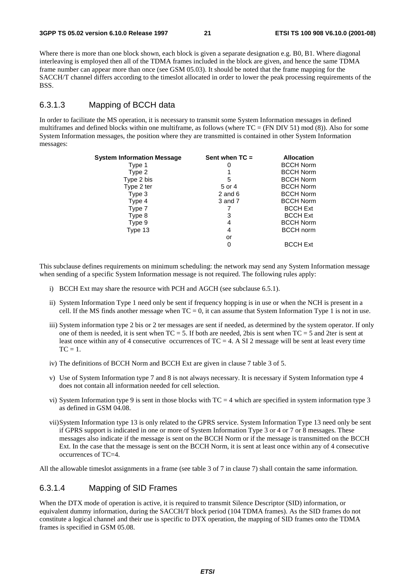Where there is more than one block shown, each block is given a separate designation e.g. B0, B1. Where diagonal interleaving is employed then all of the TDMA frames included in the block are given, and hence the same TDMA frame number can appear more than once (see GSM 05.03). It should be noted that the frame mapping for the SACCH/T channel differs according to the timeslot allocated in order to lower the peak processing requirements of the BSS.

#### 6.3.1.3 Mapping of BCCH data

In order to facilitate the MS operation, it is necessary to transmit some System Information messages in defined multiframes and defined blocks within one multiframe, as follows (where  $TC = (FN DIV 51) \text{ mod } (8)$ ). Also for some System Information messages, the position where they are transmitted is contained in other System Information messages:

| System Information Message | Sent when $TC =$ | <b>Allocation</b> |
|----------------------------|------------------|-------------------|
| Type 1                     |                  | <b>BCCH Norm</b>  |
| Type 2                     |                  | <b>BCCH Norm</b>  |
| Type 2 bis                 | 5                | <b>BCCH Norm</b>  |
| Type 2 ter                 | 5 or 4           | <b>BCCH Norm</b>  |
| Type 3                     | $2$ and $6$      | <b>BCCH Norm</b>  |
| Type 4                     | 3 and 7          | <b>BCCH Norm</b>  |
| Type 7                     |                  | <b>BCCH Ext</b>   |
| Type 8                     | 3                | <b>BCCH Ext</b>   |
| Type 9                     | 4                | <b>BCCH Norm</b>  |
| Type 13                    | 4                | <b>BCCH</b> norm  |
|                            | or               |                   |
|                            | 0                | <b>BCCH Ext</b>   |

This subclause defines requirements on minimum scheduling: the network may send any System Information message when sending of a specific System Information message is not required. The following rules apply:

- i) BCCH Ext may share the resource with PCH and AGCH (see subclause 6.5.1).
- ii) System Information Type 1 need only be sent if frequency hopping is in use or when the NCH is present in a cell. If the MS finds another message when  $TC = 0$ , it can assume that System Information Type 1 is not in use.
- iii) System information type 2 bis or 2 ter messages are sent if needed, as determined by the system operator. If only one of them is needed, it is sent when  $TC = 5$ . If both are needed, 2bis is sent when  $TC = 5$  and 2ter is sent at least once within any of 4 consecutive occurrences of  $TC = 4$ . A SI 2 message will be sent at least every time  $TC = 1$
- iv) The definitions of BCCH Norm and BCCH Ext are given in clause 7 table 3 of 5.
- v) Use of System Information type 7 and 8 is not always necessary. It is necessary if System Information type 4 does not contain all information needed for cell selection.
- vi) System Information type 9 is sent in those blocks with  $TC = 4$  which are specified in system information type 3 as defined in GSM 04.08.
- vii) System Information type 13 is only related to the GPRS service. System Information Type 13 need only be sent if GPRS support is indicated in one or more of System Information Type 3 or 4 or 7 or 8 messages. These messages also indicate if the message is sent on the BCCH Norm or if the message is transmitted on the BCCH Ext. In the case that the message is sent on the BCCH Norm, it is sent at least once within any of 4 consecutive occurrences of TC=4.

All the allowable timeslot assignments in a frame (see table 3 of 7 in clause 7) shall contain the same information.

#### 6.3.1.4 Mapping of SID Frames

When the DTX mode of operation is active, it is required to transmit Silence Descriptor (SID) information, or equivalent dummy information, during the SACCH/T block period (104 TDMA frames). As the SID frames do not constitute a logical channel and their use is specific to DTX operation, the mapping of SID frames onto the TDMA frames is specified in GSM 05.08.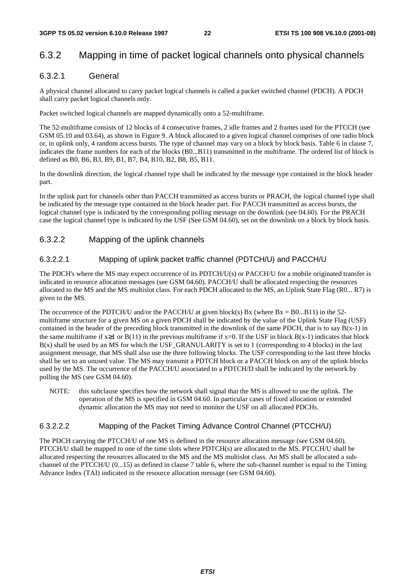### 6.3.2 Mapping in time of packet logical channels onto physical channels

#### 6.3.2.1 General

A physical channel allocated to carry packet logical channels is called a packet switched channel (PDCH). A PDCH shall carry packet logical channels only.

Packet switched logical channels are mapped dynamically onto a 52-multiframe.

The 52-multiframe consists of 12 blocks of 4 consecutive frames, 2 idle frames and 2 frames used for the PTCCH (see GSM 05.10 and 03.64), as shown in Figure 9. A block allocated to a given logical channel comprises of one radio block or, in uplink only, 4 random access bursts. The type of channel may vary on a block by block basis. Table 6 in clause 7, indicates the frame numbers for each of the blocks (B0...B11) transmitted in the multiframe. The ordered list of block is defined as B0, B6, B3, B9, B1, B7, B4, B10, B2, B8, B5, B11.

In the downlink direction, the logical channel type shall be indicated by the message type contained in the block header part.

In the uplink part for channels other than PACCH transmitted as access bursts or PRACH, the logical channel type shall be indicated by the message type contained in the block header part. For PACCH transmitted as access bursts, the logical channel type is indicated by the corresponding polling message on the downlink (see 04.60). For the PRACH case the logical channel type is indicated by the USF (See GSM 04.60), set on the downlink on a block by block basis.

### 6.3.2.2 Mapping of the uplink channels

#### 6.3.2.2.1 Mapping of uplink packet traffic channel (PDTCH/U) and PACCH/U

The PDCH's where the MS may expect occurrence of its PDTCH/U(s) or PACCH/U for a mobile originated transfer is indicated in resource allocation messages (see GSM 04.60). PACCH/U shall be allocated respecting the resources allocated to the MS and the MS multislot class. For each PDCH allocated to the MS, an Uplink State Flag (R0... R7) is given to the MS.

The occurrence of the PDTCH/U and/or the PACCH/U at given block(s) Bx (where Bx = B0...B11) in the 52multiframe structure for a given MS on a given PDCH shall be indicated by the value of the Uplink State Flag (USF) contained in the header of the preceding block transmitted in the downlink of the same PDCH, that is to say  $B(x-1)$  in the same multiframe if  $x\geq 1$  or  $B(11)$  in the previous multiframe if  $x=0$ . If the USF in block  $B(x-1)$  indicates that block  $B(x)$  shall be used by an MS for which the USF\_GRANULARITY is set to 1 (corresponding to 4 blocks) in the last assignment message, that MS shall also use the three following blocks. The USF corresponding to the last three blocks shall be set to an unused value. The MS may transmit a PDTCH block or a PACCH block on any of the uplink blocks used by the MS. The occurrence of the PACCH/U associated to a PDTCH/D shall be indicated by the network by polling the MS (see GSM 04.60).

NOTE: this subclause specifies how the network shall signal that the MS is allowed to use the uplink. The operation of the MS is specified in GSM 04.60. In particular cases of fixed allocation or extended dynamic allocation the MS may not need to monitor the USF on all allocated PDCHs.

#### 6.3.2.2.2 Mapping of the Packet Timing Advance Control Channel (PTCCH/U)

The PDCH carrying the PTCCH/U of one MS is defined in the resource allocation message (see GSM 04.60). PTCCH/U shall be mapped to one of the time slots where PDTCH(s) are allocated to the MS. PTCCH/U shall be allocated respecting the resources allocated to the MS and the MS multislot class. An MS shall be allocated a subchannel of the PTCCH/U (0...15) as defined in clause 7 table 6, where the sub-channel number is equal to the Timing Advance Index (TAI) indicated in the resource allocation message (see GSM 04.60).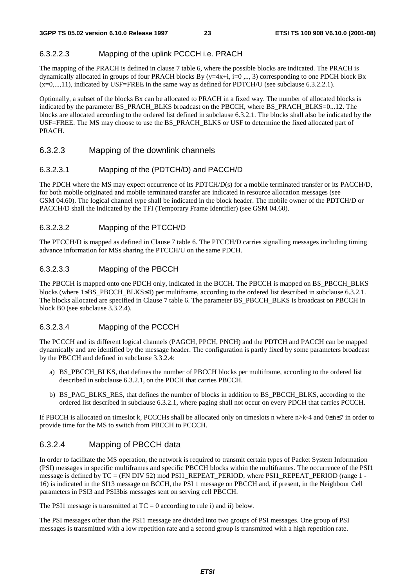#### 6.3.2.2.3 Mapping of the uplink PCCCH i.e. PRACH

The mapping of the PRACH is defined in clause 7 table 6, where the possible blocks are indicated. The PRACH is dynamically allocated in groups of four PRACH blocks By ( $y=4x+i$ , i=0 ,.., 3) corresponding to one PDCH block Bx  $(x=0,...,11)$ , indicated by USF=FREE in the same way as defined for PDTCH/U (see subclause 6.3.2.2.1).

Optionally, a subset of the blocks Bx can be allocated to PRACH in a fixed way. The number of allocated blocks is indicated by the parameter BS\_PRACH\_BLKS broadcast on the PBCCH, where BS\_PRACH\_BLKS=0...12. The blocks are allocated according to the ordered list defined in subclause 6.3.2.1. The blocks shall also be indicated by the USF=FREE. The MS may choose to use the BS\_PRACH\_BLKS or USF to determine the fixed allocated part of PRACH.

#### 6.3.2.3 Mapping of the downlink channels

#### 6.3.2.3.1 Mapping of the (PDTCH/D) and PACCH/D

The PDCH where the MS may expect occurrence of its PDTCH/D(s) for a mobile terminated transfer or its PACCH/D, for both mobile originated and mobile terminated transfer are indicated in resource allocation messages (see GSM 04.60). The logical channel type shall be indicated in the block header. The mobile owner of the PDTCH/D or PACCH/D shall the indicated by the TFI (Temporary Frame Identifier) (see GSM 04.60).

#### 6.3.2.3.2 Mapping of the PTCCH/D

The PTCCH/D is mapped as defined in Clause 7 table 6. The PTCCH/D carries signalling messages including timing advance information for MSs sharing the PTCCH/U on the same PDCH.

#### 6.3.2.3.3 Mapping of the PBCCH

The PBCCH is mapped onto one PDCH only, indicated in the BCCH. The PBCCH is mapped on BS\_PBCCH\_BLKS blocks (where 1≤BS\_PBCCH\_BLKS≤4) per multiframe, according to the ordered list described in subclause 6.3.2.1. The blocks allocated are specified in Clause 7 table 6. The parameter BS\_PBCCH\_BLKS is broadcast on PBCCH in block B0 (see subclause 3.3.2.4).

#### 6.3.2.3.4 Mapping of the PCCCH

The PCCCH and its different logical channels (PAGCH, PPCH, PNCH) and the PDTCH and PACCH can be mapped dynamically and are identified by the message header. The configuration is partly fixed by some parameters broadcast by the PBCCH and defined in subclause 3.3.2.4:

- a) BS\_PBCCH\_BLKS, that defines the number of PBCCH blocks per multiframe, according to the ordered list described in subclause 6.3.2.1, on the PDCH that carries PBCCH.
- b) BS\_PAG\_BLKS\_RES, that defines the number of blocks in addition to BS\_PBCCH\_BLKS, according to the ordered list described in subclause 6.3.2.1, where paging shall not occur on every PDCH that carries PCCCH.

If PBCCH is allocated on timeslot k, PCCCHs shall be allocated only on timeslots n where n>k-4 and 0≤n≤7 in order to provide time for the MS to switch from PBCCH to PCCCH.

#### 6.3.2.4 Mapping of PBCCH data

In order to facilitate the MS operation, the network is required to transmit certain types of Packet System Information (PSI) messages in specific multiframes and specific PBCCH blocks within the multiframes. The occurrence of the PSI1 message is defined by TC = (FN DIV 52) mod PSI1\_REPEAT\_PERIOD, where PSI1\_REPEAT\_PERIOD (range 1 - 16) is indicated in the SI13 message on BCCH, the PSI 1 message on PBCCH and, if present, in the Neighbour Cell parameters in PSI3 and PSI3bis messages sent on serving cell PBCCH.

The PSI1 message is transmitted at  $TC = 0$  according to rule i) and ii) below.

The PSI messages other than the PSI1 message are divided into two groups of PSI messages. One group of PSI messages is transmitted with a low repetition rate and a second group is transmitted with a high repetition rate.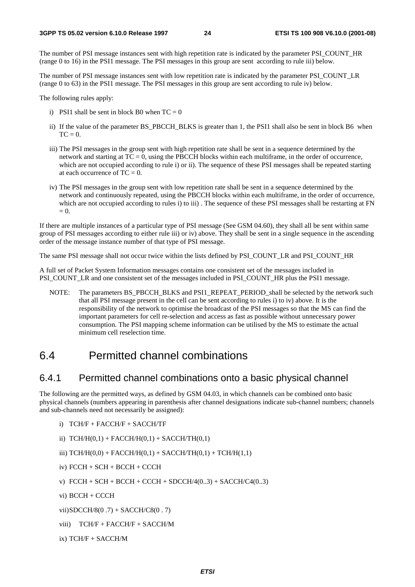The number of PSI message instances sent with high repetition rate is indicated by the parameter PSI\_COUNT\_HR (range 0 to 16) in the PSI1 message. The PSI messages in this group are sent according to rule iii) below.

The number of PSI message instances sent with low repetition rate is indicated by the parameter PSI\_COUNT\_LR (range 0 to 63) in the PSI1 message. The PSI messages in this group are sent according to rule iv) below.

The following rules apply:

- i) PSI1 shall be sent in block B0 when  $TC = 0$
- ii) If the value of the parameter BS\_PBCCH\_BLKS is greater than 1, the PSI1 shall also be sent in block B6 when  $TC = 0$ .
- iii) The PSI messages in the group sent with high repetition rate shall be sent in a sequence determined by the network and starting at  $TC = 0$ , using the PBCCH blocks within each multiframe, in the order of occurrence, which are not occupied according to rule i) or ii). The sequence of these PSI messages shall be repeated starting at each occurrence of  $TC = 0$ .
- iv) The PSI messages in the group sent with low repetition rate shall be sent in a sequence determined by the network and continuously repeated, using the PBCCH blocks within each multiframe, in the order of occurrence, which are not occupied according to rules i) to iii). The sequence of these PSI messages shall be restarting at FN  $= 0$ .

If there are multiple instances of a particular type of PSI message (See GSM 04.60), they shall all be sent within same group of PSI messages according to either rule iii) or iv) above. They shall be sent in a single sequence in the ascending order of the message instance number of that type of PSI message.

The same PSI message shall not occur twice within the lists defined by PSI\_COUNT\_LR and PSI\_COUNT\_HR

A full set of Packet System Information messages contains one consistent set of the messages included in PSI\_COUNT\_LR and one consistent set of the messages included in PSI\_COUNT\_HR plus the PSI1 message.

NOTE: The parameters BS\_PBCCH\_BLKS and PSI1\_REPEAT\_PERIOD\_shall be selected by the network such that all PSI message present in the cell can be sent according to rules i) to iv) above. It is the responsibility of the network to optimise the broadcast of the PSI messages so that the MS can find the important parameters for cell re-selection and access as fast as possible without unnecessary power consumption. The PSI mapping scheme information can be utilised by the MS to estimate the actual minimum cell reselection time.

### 6.4 Permitted channel combinations

### 6.4.1 Permitted channel combinations onto a basic physical channel

The following are the permitted ways, as defined by GSM 04.03, in which channels can be combined onto basic physical channels (numbers appearing in parenthesis after channel designations indicate sub-channel numbers; channels and sub-channels need not necessarily be assigned):

- i) TCH/F + FACCH/F + SACCH/TF
- ii)  $TCH/H(0,1) + FACCH/H(0,1) + SACCH/TH(0,1)$
- iii)  $TCH/H(0,0) + FACCH/H(0,1) + SACCH/TH(0,1) + TCH/H(1,1)$
- iv) FCCH + SCH + BCCH + CCCH
- v)  $FCCH + SCH + BCCH + CCCH + SDCCH/4(0..3) + SACCH/C4(0..3)$
- vi) BCCH + CCCH

vii) SDCCH/8(0 .7) + SACCH/C8(0 . 7)

- viii) TCH/F + FACCH/F + SACCH/M
- ix) TCH/F + SACCH/M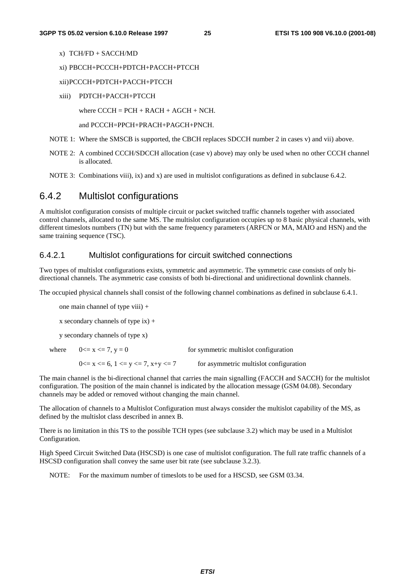- x) TCH/FD + SACCH/MD
- xi) PBCCH+PCCCH+PDTCH+PACCH+PTCCH
- xii) PCCCH+PDTCH+PACCH+PTCCH
- xiii) PDTCH+PACCH+PTCCH

where  $CCCH = PCH + RACH + AGCH + NCH$ .

and PCCCH=PPCH+PRACH+PAGCH+PNCH.

- NOTE 1: Where the SMSCB is supported, the CBCH replaces SDCCH number 2 in cases v) and vii) above.
- NOTE 2: A combined CCCH/SDCCH allocation (case v) above) may only be used when no other CCCH channel is allocated.
- NOTE 3: Combinations viii), ix) and x) are used in multislot configurations as defined in subclause 6.4.2.

### 6.4.2 Multislot configurations

A multislot configuration consists of multiple circuit or packet switched traffic channels together with associated control channels, allocated to the same MS. The multislot configuration occupies up to 8 basic physical channels, with different timeslots numbers (TN) but with the same frequency parameters (ARFCN or MA, MAIO and HSN) and the same training sequence (TSC).

#### 6.4.2.1 Multislot configurations for circuit switched connections

Two types of multislot configurations exists, symmetric and asymmetric. The symmetric case consists of only bidirectional channels. The asymmetric case consists of both bi-directional and unidirectional downlink channels.

The occupied physical channels shall consist of the following channel combinations as defined in subclause 6.4.1.

one main channel of type viii) +

x secondary channels of type ix)  $+$ 

y secondary channels of type x)

| where $0 \le x \le 7, y = 0$                    | for symmetric multislot configuration  |
|-------------------------------------------------|----------------------------------------|
| $0 \le x \le 6$ , $1 \le y \le 7$ , $x+y \le 7$ | for asymmetric multislot configuration |

The main channel is the bi-directional channel that carries the main signalling (FACCH and SACCH) for the multislot configuration. The position of the main channel is indicated by the allocation message (GSM 04.08). Secondary channels may be added or removed without changing the main channel.

The allocation of channels to a Multislot Configuration must always consider the multislot capability of the MS, as defined by the multislot class described in annex B.

There is no limitation in this TS to the possible TCH types (see subclause 3.2) which may be used in a Multislot Configuration.

High Speed Circuit Switched Data (HSCSD) is one case of multislot configuration. The full rate traffic channels of a HSCSD configuration shall convey the same user bit rate (see subclause 3.2.3).

NOTE: For the maximum number of timeslots to be used for a HSCSD, see GSM 03.34.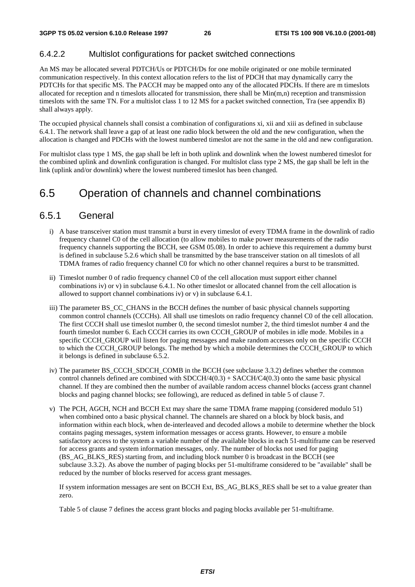#### 6.4.2.2 Multislot configurations for packet switched connections

An MS may be allocated several PDTCH/Us or PDTCH/Ds for one mobile originated or one mobile terminated communication respectively. In this context allocation refers to the list of PDCH that may dynamically carry the PDTCHs for that specific MS. The PACCH may be mapped onto any of the allocated PDCHs. If there are m timeslots allocated for reception and n timeslots allocated for transmission, there shall be  $Min(m,n)$  reception and transmission timeslots with the same TN. For a multislot class 1 to 12 MS for a packet switched connection, Tra (see appendix B) shall always apply.

The occupied physical channels shall consist a combination of configurations xi, xii and xiii as defined in subclause 6.4.1. The network shall leave a gap of at least one radio block between the old and the new configuration, when the allocation is changed and PDCHs with the lowest numbered timeslot are not the same in the old and new configuration.

For multislot class type 1 MS, the gap shall be left in both uplink and downlink when the lowest numbered timeslot for the combined uplink and downlink configuration is changed. For multislot class type 2 MS, the gap shall be left in the link (uplink and/or downlink) where the lowest numbered timeslot has been changed.

### 6.5 Operation of channels and channel combinations

#### 6.5.1 General

- i) A base transceiver station must transmit a burst in every timeslot of every TDMA frame in the downlink of radio frequency channel C0 of the cell allocation (to allow mobiles to make power measurements of the radio frequency channels supporting the BCCH, see GSM 05.08). In order to achieve this requirement a dummy burst is defined in subclause 5.2.6 which shall be transmitted by the base transceiver station on all timeslots of all TDMA frames of radio frequency channel C0 for which no other channel requires a burst to be transmitted.
- ii) Timeslot number 0 of radio frequency channel C0 of the cell allocation must support either channel combinations iv) or v) in subclause 6.4.1. No other timeslot or allocated channel from the cell allocation is allowed to support channel combinations iv) or v) in subclause 6.4.1.
- iii) The parameter BS\_CC\_CHANS in the BCCH defines the number of basic physical channels supporting common control channels (CCCHs). All shall use timeslots on radio frequency channel C0 of the cell allocation. The first CCCH shall use timeslot number 0, the second timeslot number 2, the third timeslot number 4 and the fourth timeslot number 6. Each CCCH carries its own CCCH\_GROUP of mobiles in idle mode. Mobiles in a specific CCCH GROUP will listen for paging messages and make random accesses only on the specific CCCH to which the CCCH\_GROUP belongs. The method by which a mobile determines the CCCH\_GROUP to which it belongs is defined in subclause 6.5.2.
- iv) The parameter BS\_CCCH\_SDCCH\_COMB in the BCCH (see subclause 3.3.2) defines whether the common control channels defined are combined with  $SDCCH/4(0.3) + SACCH/C4(0.3)$  onto the same basic physical channel. If they are combined then the number of available random access channel blocks (access grant channel blocks and paging channel blocks; see following), are reduced as defined in table 5 of clause 7.
- v) The PCH, AGCH, NCH and BCCH Ext may share the same TDMA frame mapping (considered modulo 51) when combined onto a basic physical channel. The channels are shared on a block by block basis, and information within each block, when de-interleaved and decoded allows a mobile to determine whether the block contains paging messages, system information messages or access grants. However, to ensure a mobile satisfactory access to the system a variable number of the available blocks in each 51-multiframe can be reserved for access grants and system information messages, only. The number of blocks not used for paging (BS\_AG\_BLKS\_RES) starting from, and including block number 0 is broadcast in the BCCH (see subclause 3.3.2). As above the number of paging blocks per 51-multiframe considered to be "available" shall be reduced by the number of blocks reserved for access grant messages.

If system information messages are sent on BCCH Ext, BS\_AG\_BLKS\_RES shall be set to a value greater than zero.

Table 5 of clause 7 defines the access grant blocks and paging blocks available per 51-multiframe.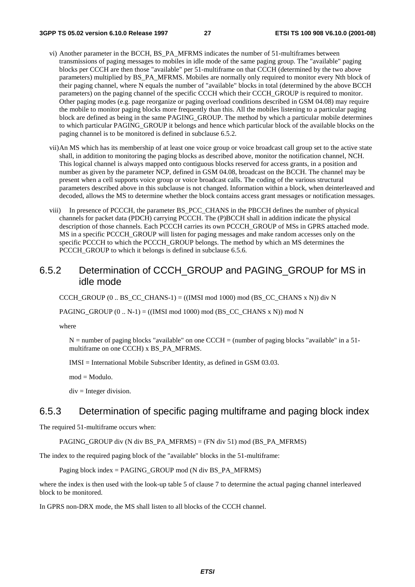- vi) Another parameter in the BCCH, BS\_PA\_MFRMS indicates the number of 51-multiframes between transmissions of paging messages to mobiles in idle mode of the same paging group. The "available" paging blocks per CCCH are then those "available" per 51-multiframe on that CCCH (determined by the two above parameters) multiplied by BS\_PA\_MFRMS. Mobiles are normally only required to monitor every Nth block of their paging channel, where N equals the number of "available" blocks in total (determined by the above BCCH parameters) on the paging channel of the specific CCCH which their CCCH\_GROUP is required to monitor. Other paging modes (e.g. page reorganize or paging overload conditions described in GSM 04.08) may require the mobile to monitor paging blocks more frequently than this. All the mobiles listening to a particular paging block are defined as being in the same PAGING\_GROUP. The method by which a particular mobile determines to which particular PAGING\_GROUP it belongs and hence which particular block of the available blocks on the paging channel is to be monitored is defined in subclause 6.5.2.
- vii) An MS which has its membership of at least one voice group or voice broadcast call group set to the active state shall, in addition to monitoring the paging blocks as described above, monitor the notification channel, NCH. This logical channel is always mapped onto contiguous blocks reserved for access grants, in a position and number as given by the parameter NCP, defined in GSM 04.08, broadcast on the BCCH. The channel may be present when a cell supports voice group or voice broadcast calls. The coding of the various structural parameters described above in this subclause is not changed. Information within a block, when deinterleaved and decoded, allows the MS to determine whether the block contains access grant messages or notification messages.
- viii) In presence of PCCCH, the parameter BS\_PCC\_CHANS in the PBCCH defines the number of physical channels for packet data (PDCH) carrying PCCCH. The (P)BCCH shall in addition indicate the physical description of those channels. Each PCCCH carries its own PCCCH\_GROUP of MSs in GPRS attached mode. MS in a specific PCCCH GROUP will listen for paging messages and make random accesses only on the specific PCCCH to which the PCCCH\_GROUP belongs. The method by which an MS determines the PCCCH GROUP to which it belongs is defined in subclause 6.5.6.

### 6.5.2 Determination of CCCH\_GROUP and PAGING\_GROUP for MS in idle mode

CCCH\_GROUP  $(0 \dots BS$  CC\_CHANS-1) =  $((IMSI \mod 1000) \mod (BS \CC \CHANS \times N))$  div N

PAGING\_GROUP  $(0.. N-1) = ((IMSI \mod 1000) \mod (BS\_CC\_CHANS \times N)) \mod N$ 

where

 $N =$  number of paging blocks "available" on one CCCH = (number of paging blocks "available" in a 51multiframe on one CCCH) x BS\_PA\_MFRMS.

IMSI = International Mobile Subscriber Identity, as defined in GSM 03.03.

mod = Modulo.

 $div =$  Integer division.

### 6.5.3 Determination of specific paging multiframe and paging block index

The required 51-multiframe occurs when:

PAGING GROUP div (N div BS\_PA\_MFRMS) = (FN div 51) mod (BS\_PA\_MFRMS)

The index to the required paging block of the "available" blocks in the 51-multiframe:

Paging block index = PAGING\_GROUP mod (N div BS\_PA\_MFRMS)

where the index is then used with the look-up table 5 of clause 7 to determine the actual paging channel interleaved block to be monitored.

In GPRS non-DRX mode, the MS shall listen to all blocks of the CCCH channel.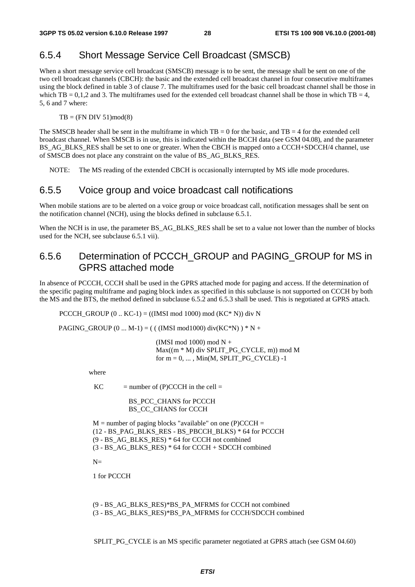### 6.5.4 Short Message Service Cell Broadcast (SMSCB)

When a short message service cell broadcast (SMSCB) message is to be sent, the message shall be sent on one of the two cell broadcast channels (CBCH): the basic and the extended cell broadcast channel in four consecutive multiframes using the block defined in table 3 of clause 7. The multiframes used for the basic cell broadcast channel shall be those in which TB = 0,1,2 and 3. The multiframes used for the extended cell broadcast channel shall be those in which TB = 4, 5, 6 and 7 where:

 $TB = (FN DIV 51)mod(8)$ 

The SMSCB header shall be sent in the multiframe in which  $TB = 0$  for the basic, and  $TB = 4$  for the extended cell broadcast channel. When SMSCB is in use, this is indicated within the BCCH data (see GSM 04.08), and the parameter BS\_AG\_BLKS\_RES shall be set to one or greater. When the CBCH is mapped onto a CCCH+SDCCH/4 channel, use of SMSCB does not place any constraint on the value of BS\_AG\_BLKS\_RES.

NOTE: The MS reading of the extended CBCH is occasionally interrupted by MS idle mode procedures.

### 6.5.5 Voice group and voice broadcast call notifications

When mobile stations are to be alerted on a voice group or voice broadcast call, notification messages shall be sent on the notification channel (NCH), using the blocks defined in subclause 6.5.1.

When the NCH is in use, the parameter BS\_AG\_BLKS\_RES shall be set to a value not lower than the number of blocks used for the NCH, see subclause 6.5.1 vii).

### 6.5.6 Determination of PCCCH\_GROUP and PAGING\_GROUP for MS in GPRS attached mode

In absence of PCCCH, CCCH shall be used in the GPRS attached mode for paging and access. If the determination of the specific paging multiframe and paging block index as specified in this subclause is not supported on CCCH by both the MS and the BTS, the method defined in subclause 6.5.2 and 6.5.3 shall be used. This is negotiated at GPRS attach.

PCCCH\_GROUP  $(0..$  KC-1) =  $((IMSI \mod 1000) \mod (KC^* N))$  div N

PAGING\_GROUP  $(0 ... M-1) = ( ( (IMSI mod 1000) div(KC*N) ) * N +$ 

(IMSI mod 1000) mod  $N +$  $Max((m * M)$  div SPLIT\_PG\_CYCLE, m)) mod M for  $m = 0, \ldots, M$ in(M, SPLIT PG\_CYCLE) -1

where

 $KC$  = number of (P)CCCH in the cell =

BS\_PCC\_CHANS for PCCCH BS CC\_CHANS for CCCH

```
M = number of paging blocks "available" on one (P)CCCH =
(12 - BS_PAG_BLKS_RES - BS_PBCCH_BLKS) * 64 for PCCCH 
(9 - BS_AG_BLKS_RES) * 64 for CCCH not combined 
(3 - BS AG BLKS RES) * 64 for CCCH + SDCCH combined
```
 $N=$ 

1 for PCCCH

```
(9 - BS_AG_BLKS_RES)*BS_PA_MFRMS for CCCH not combined 
(3 - BS_AG_BLKS_RES)*BS_PA_MFRMS for CCCH/SDCCH combined
```
SPLIT\_PG\_CYCLE is an MS specific parameter negotiated at GPRS attach (see GSM 04.60)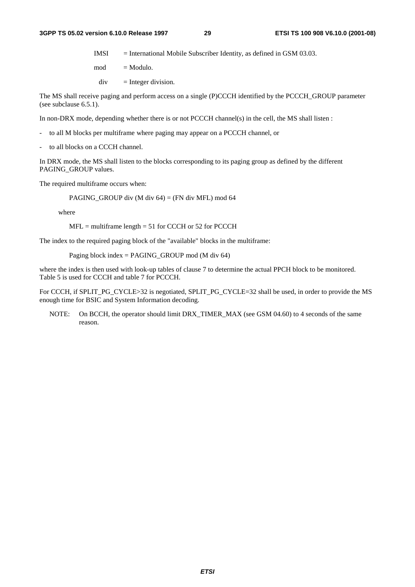$IMSI$  = International Mobile Subscriber Identity, as defined in GSM 03.03.

 $mod = Modulo.$ 

 $div =$  Integer division.

The MS shall receive paging and perform access on a single (P)CCCH identified by the PCCCH\_GROUP parameter (see subclause 6.5.1).

In non-DRX mode, depending whether there is or not PCCCH channel(s) in the cell, the MS shall listen :

- to all M blocks per multiframe where paging may appear on a PCCCH channel, or
- to all blocks on a CCCH channel.

In DRX mode, the MS shall listen to the blocks corresponding to its paging group as defined by the different PAGING\_GROUP values.

The required multiframe occurs when:

PAGING\_GROUP div (M div 64) = (FN div MFL) mod 64

where

 $MFL =$  multiframe length = 51 for CCCH or 52 for PCCCH

The index to the required paging block of the "available" blocks in the multiframe:

Paging block index = PAGING\_GROUP mod (M div 64)

where the index is then used with look-up tables of clause 7 to determine the actual PPCH block to be monitored. Table 5 is used for CCCH and table 7 for PCCCH.

For CCCH, if SPLIT\_PG\_CYCLE>32 is negotiated, SPLIT\_PG\_CYCLE=32 shall be used, in order to provide the MS enough time for BSIC and System Information decoding.

NOTE: On BCCH, the operator should limit DRX\_TIMER\_MAX (see GSM 04.60) to 4 seconds of the same reason.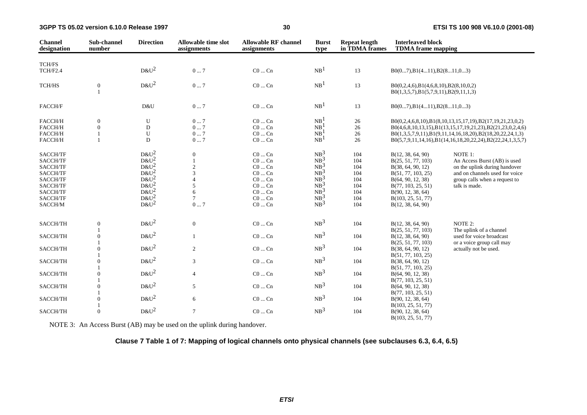| <b>Channel</b><br>designation | Sub-channel<br>number | <b>Direction</b> | <b>Allowable time slot</b><br>assignments | <b>Allowable RF channel</b><br>assignments | <b>Burst</b><br>type | <b>Repeat length</b><br>in TDMA frames | <b>Interleaved block</b><br><b>TDMA</b> frame mapping                                  |                                                            |
|-------------------------------|-----------------------|------------------|-------------------------------------------|--------------------------------------------|----------------------|----------------------------------------|----------------------------------------------------------------------------------------|------------------------------------------------------------|
| <b>TCH/FS</b>                 |                       |                  |                                           |                                            |                      |                                        |                                                                                        |                                                            |
| TCH/F2.4                      |                       | $D&U^2$          | $0 \ldots 7$                              | $CO \dots Cn$                              | NB <sup>1</sup>      | 13                                     | $B0(07), B1(411), B2(811,03)$                                                          |                                                            |
| TCH/HS                        | $\mathbf{0}$          | $D&U^2$          | 07                                        | $CO \dots Cn$                              | NB <sup>1</sup>      | 13                                     | $B0(0,2,4,6), B1(4,6,8,10), B2(8,10,0,2)$<br>$B0(1,3,5,7), B1(5,7,9,11), B2(9,11,1,3)$ |                                                            |
| <b>FACCH/F</b>                |                       | D&U              | 07                                        | $C0$ $Cn$                                  | NB <sup>1</sup>      | 13                                     | $B0(07), B1(411), B2(811,03)$                                                          |                                                            |
| FACCH/H                       | $\boldsymbol{0}$      | U                | 07                                        | $CO \dots Cn$                              | NB <sup>1</sup>      | 26                                     |                                                                                        | B0(0,2,4,6,8,10),B1(8,10,13,15,17,19),B2(17,19,21,23,0,2)  |
| FACCH/H                       | $\mathbf{0}$          | $\mathbf D$      | 07                                        | $CO \dots Cn$                              | NB                   | 26                                     |                                                                                        | B0(4,6,8,10,13,15),B1(13,15,17,19,21,23),B2(21,23,0,2,4,6) |
| FACCH/H                       | $\overline{1}$        | U                | 07                                        | $C0$ $Cn$                                  | NB <sup>1</sup>      | 26                                     |                                                                                        | B0(1,3,5,7,9,11),B1(9,11,14,16,18,20),B2(18,20,22,24,1,3)  |
| FACCH/H                       | $\overline{1}$        | D                | 07                                        | $\rm CO$ $\ldots$ $\rm Cn$                 | NB <sup>1</sup>      | 26                                     |                                                                                        | B0(5,7,9,11,14,16),B1(14,16,18,20,22,24),B2(22,24,1,3,5,7) |
| SACCH/TF                      |                       | $D&U^2$          | $\overline{0}$                            | $C0$ $Cn$                                  | $NB^3$               | 104                                    | B(12, 38, 64, 90)                                                                      | NOTE 1:                                                    |
| SACCH/TF                      |                       | $D\&U^2$         |                                           | $C0$ $Cn$                                  | $NB^3$               | 104                                    | B(25, 51, 77, 103)                                                                     | An Access Burst (AB) is used                               |
| SACCH/TF                      |                       | $D&U^2$          | $\overline{c}$                            | $CO \dots Cn$                              | $NB^3$               | 104                                    | B(38, 64, 90, 12)                                                                      | on the uplink during handover                              |
| SACCH/TF                      |                       | $D&U^2$          | 3                                         | $C0$ $Cn$                                  | $NB^3$               | 104                                    | B(51, 77, 103, 25)                                                                     | and on channels used for voice                             |
| SACCH/TF                      |                       | $D\&U^2$         |                                           | $CO \dots Cn$                              | $NB^3$               | 104                                    | B(64, 90, 12, 38)                                                                      | group calls when a request to                              |
| SACCH/TF                      |                       | $D&U^2$          | $\sqrt{5}$                                | $CO \dots Cn$                              | $NB^3$               | 104                                    | B(77, 103, 25, 51)                                                                     | talk is made.                                              |
| SACCH/TF                      |                       | $D&U^2$          | 6                                         | $CO \dots Cn$                              | $NB^3$               | 104                                    | B(90, 12, 38, 64)                                                                      |                                                            |
| SACCH/TF                      |                       | $D\&U^2$         | $\overline{7}$                            | $CO \dots Cn$                              | $NB^3$               | 104                                    | B(103, 25, 51, 77)                                                                     |                                                            |
| SACCH/M                       |                       | $D&U^2$          | 07                                        | $CO \dots Cn$                              | NB <sup>3</sup>      | 104                                    | B(12, 38, 64, 90)                                                                      |                                                            |
|                               |                       |                  |                                           |                                            |                      |                                        |                                                                                        |                                                            |
| SACCH/TH                      | $\boldsymbol{0}$      | $D&U^2$          | $\mathbf{0}$                              | $CO \dots Cn$                              | NB <sup>3</sup>      | 104                                    | B(12, 38, 64, 90)                                                                      | NOTE 2:                                                    |
|                               |                       |                  |                                           |                                            |                      |                                        | B(25, 51, 77, 103)                                                                     | The uplink of a channel                                    |
| SACCH/TH                      | $\theta$              | $D\&U^2$         | $\mathbf{1}$                              | $CO \dots Cn$                              | NB <sup>3</sup>      | 104                                    | B(12, 38, 64, 90)                                                                      | used for voice broadcast                                   |
|                               |                       |                  |                                           |                                            |                      |                                        | B(25, 51, 77, 103)                                                                     | or a voice group call may                                  |
| SACCH/TH                      | $\theta$              | $D&U^2$          | 2                                         | $CO \dots Cn$                              | NB <sup>3</sup>      | 104                                    | B(38, 64, 90, 12)                                                                      | actually not be used.                                      |
|                               |                       |                  |                                           |                                            |                      |                                        | B(51, 77, 103, 25)                                                                     |                                                            |
| SACCH/TH                      | $\boldsymbol{0}$      | $D\&U^2$         | $\mathfrak{Z}$                            | $CO \dots Cn$                              | NB <sup>3</sup>      | 104                                    | B(38, 64, 90, 12)                                                                      |                                                            |
|                               |                       |                  |                                           |                                            |                      |                                        | B(51, 77, 103, 25)                                                                     |                                                            |
| SACCH/TH                      | $\theta$              | $D&U^2$          | $\overline{4}$                            | $CO \dots Cn$                              | NB <sup>3</sup>      | 104                                    | B(64, 90, 12, 38)                                                                      |                                                            |
|                               |                       |                  |                                           |                                            |                      |                                        | B(77, 103, 25, 51)                                                                     |                                                            |
| SACCH/TH                      | $\mathbf{0}$          | $D&U^2$          | 5                                         | $C0 \dots Cn$                              | NB <sup>3</sup>      | 104                                    | B(64, 90, 12, 38)                                                                      |                                                            |
|                               |                       |                  |                                           |                                            |                      |                                        | B(77, 103, 25, 51)                                                                     |                                                            |
| SACCH/TH                      | $\theta$              | $D&U^2$          | 6                                         | $CO \dots Cn$                              | NB <sup>3</sup>      | 104                                    | B(90, 12, 38, 64)                                                                      |                                                            |
|                               |                       |                  |                                           |                                            |                      |                                        | B(103, 25, 51, 77)                                                                     |                                                            |
| SACCH/TH                      | $\mathbf{0}$          | $D&U^2$          | $\tau$                                    | $CO \dots Cn$                              | NB <sup>3</sup>      | 104                                    | B(90, 12, 38, 64)                                                                      |                                                            |
|                               |                       |                  |                                           |                                            |                      |                                        | B(103, 25, 51, 77)                                                                     |                                                            |

NOTE 3: An Access Burst (AB) may be used on the uplink during handover.

#### **Clause 7 Table 1 of 7: Mapping of logical channels onto physical channels (see subclauses 6.3, 6.4, 6.5)**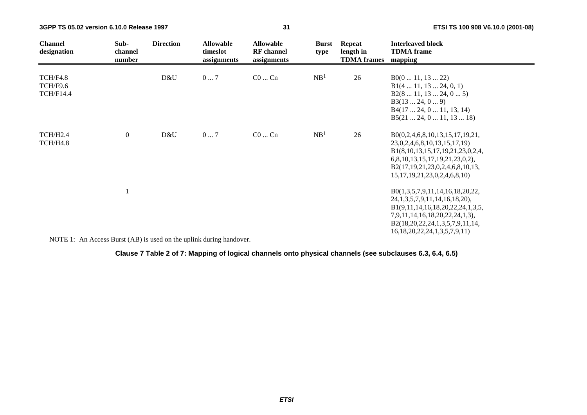| <b>Channel</b><br>designation                   | Sub-<br>channel<br>number | <b>Direction</b> | <b>Allowable</b><br>timeslot<br>assignments | <b>Allowable</b><br><b>RF</b> channel<br>assignments | <b>Burst</b><br>type | <b>Repeat</b><br>length in<br><b>TDMA</b> frames | <b>Interleaved block</b><br><b>TDMA</b> frame<br>mapping                                                                                                                                                                     |
|-------------------------------------------------|---------------------------|------------------|---------------------------------------------|------------------------------------------------------|----------------------|--------------------------------------------------|------------------------------------------------------------------------------------------------------------------------------------------------------------------------------------------------------------------------------|
| <b>TCH/F4.8</b><br>TCH/F9.6<br><b>TCH/F14.4</b> |                           | D&U              | 07                                          | $C0$ $Cn$                                            | NB <sup>1</sup>      | 26                                               | B0(011, 1322)<br>B1(4 11, 13 24, 0, 1)<br>B2(8 11, 13 24, 0 5)<br>B3(1324, 09)<br>B4(17 24, 0 11, 13, 14)<br>B5(21 24, 0 11, 13 18)                                                                                          |
| TCH/H <sub>2.4</sub><br>TCH/H4.8                | $\overline{0}$            | D&U              | 07                                          | $CO \dots Cn$                                        | NB <sup>1</sup>      | 26                                               | B0(0,2,4,6,8,10,13,15,17,19,21,<br>23, 0, 2, 4, 6, 8, 10, 13, 15, 17, 19)<br>B1(8,10,13,15,17,19,21,23,0,2,4,<br>6,8,10,13,15,17,19,21,23,0,2),<br>B2(17,19,21,23,0,2,4,6,8,10,13,<br>15, 17, 19, 21, 23, 0, 2, 4, 6, 8, 10) |
| $\frac{1}{2}$                                   |                           |                  |                                             |                                                      |                      |                                                  | B0(1,3,5,7,9,11,14,16,18,20,22,<br>24, 1, 3, 5, 7, 9, 11, 14, 16, 18, 20),<br>B1(9,11,14,16,18,20,22,24,1,3,5,<br>7,9,11,14,16,18,20,22,24,1,3),<br>B2(18,20,22,24,1,3,5,7,9,11,14,<br>16, 18, 20, 22, 24, 1, 3, 5, 7, 9, 11 |

NOTE 1: An Access Burst (AB) is used on the uplink during handover.

#### **Clause 7 Table 2 of 7: Mapping of logical channels onto physical channels (see subclauses 6.3, 6.4, 6.5)**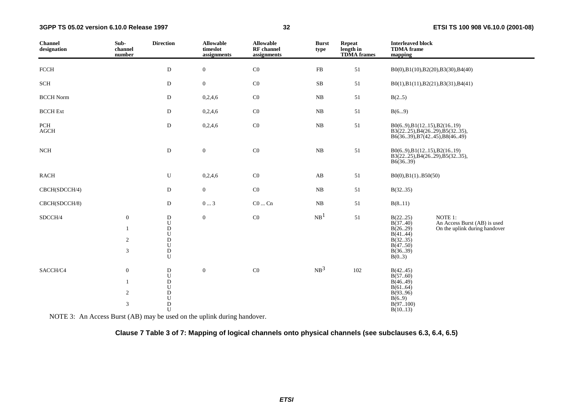| <b>Channel</b><br>designation | Sub-<br>channel<br>number                                        | <b>Direction</b>                                                                                    | <b>Allowable</b><br>timeslot<br>assignments | <b>Allowable</b><br><b>RF</b> channel<br>assignments | <b>Burst</b><br>type   | <b>Repeat</b><br>length in<br><b>TDMA</b> frames | <b>Interleaved block</b><br><b>TDMA</b> frame<br>mapping                              |                                                                          |
|-------------------------------|------------------------------------------------------------------|-----------------------------------------------------------------------------------------------------|---------------------------------------------|------------------------------------------------------|------------------------|--------------------------------------------------|---------------------------------------------------------------------------------------|--------------------------------------------------------------------------|
| <b>FCCH</b>                   |                                                                  | $\mathbf{D}$                                                                                        | $\boldsymbol{0}$                            | $\rm CO$                                             | FB                     | 51                                               |                                                                                       | B0(0),B1(10),B2(20),B3(30),B4(40)                                        |
| SCH                           |                                                                  | D                                                                                                   | $\boldsymbol{0}$                            | $\rm CO$                                             | ${\bf SB}$             | 51                                               |                                                                                       | B0(1),B1(11),B2(21),B3(31),B4(41)                                        |
| <b>BCCH</b> Norm              |                                                                  | D                                                                                                   | 0,2,4,6                                     | $\rm CO$                                             | $\rm NB$               | 51                                               | B(25)                                                                                 |                                                                          |
| <b>BCCH</b> Ext               |                                                                  | D                                                                                                   | 0,2,4,6                                     | $\rm CO$                                             | ${\rm NB}$             | $51\,$                                           | B(69)                                                                                 |                                                                          |
| PCH<br>$\rm{AGCH}$            |                                                                  | $\mathbf D$                                                                                         | 0,2,4,6                                     | $\rm CO$                                             | ${\bf NB}$             | $51\,$                                           | B0(69), B1(1215), B2(1619)                                                            | B3(2225), B4(2629), B5(3235),<br>B6(3639), B7(4245), B8(4649)            |
| NCH                           |                                                                  | ${\bf D}$                                                                                           | $\boldsymbol{0}$                            | $\rm CO$                                             | ${\bf NB}$             | $51\,$                                           | B0(69), B1(1215), B2(1619)<br>B6(36.39)                                               | B3(2225), B4(2629), B5(3235),                                            |
| <b>RACH</b>                   |                                                                  | U                                                                                                   | 0,2,4,6                                     | $\rm CO$                                             | $\mathbf{A}\mathbf{B}$ | 51                                               | $B0(0), B1(1)$ $B50(50)$                                                              |                                                                          |
| CBCH(SDCCH/4)                 |                                                                  | D                                                                                                   | $\overline{0}$                              | $\rm CO$                                             | NB                     | 51                                               | B(3235)                                                                               |                                                                          |
| CBCH(SDCCH/8)                 |                                                                  | D                                                                                                   | $0 \dots 3$                                 | $CO \dots Cn$                                        | ${\bf NB}$             | 51                                               | B(811)                                                                                |                                                                          |
| SDCCH/4                       | $\boldsymbol{0}$<br>$\mathbf{1}$<br>$\sqrt{2}$<br>$\mathfrak{Z}$ | $_\mathrm{U}^\mathrm{D}$<br>${\bf D}$<br>${\bf U}$<br>${\bf D}$<br>${\bf U}$<br>$\overline{D}$<br>U | $\overline{0}$                              | $\rm CO$                                             | NB <sup>1</sup>        | 51                                               | B(2225)<br>B(3740)<br>B(2629)<br>B(4144)<br>B(3235)<br>B(4750)<br>B(3639)<br>B(0.3)   | NOTE 1:<br>An Access Burst (AB) is used<br>On the uplink during handover |
| SACCH/C4                      | $\boldsymbol{0}$<br>$\mathbf{1}$<br>$\overline{2}$<br>3          | ${\bf D}$<br>${\bf U}$<br>${\rm D}$<br>${\bf U}$<br>${\bf D}$<br>${\bf U}$<br>${\bf D}$<br>U        | $\boldsymbol{0}$                            | $\rm CO$                                             | NB <sup>3</sup>        | 102                                              | B(4245)<br>B(5760)<br>B(46.49)<br>B(6164)<br>B(9396)<br>B(6.9)<br>B(97100)<br>B(1013) |                                                                          |

NOTE 3: An Access Burst (AB) may be used on the uplink during handover.

**Clause 7 Table 3 of 7: Mapping of logical channels onto physical channels (see subclauses 6.3, 6.4, 6.5)**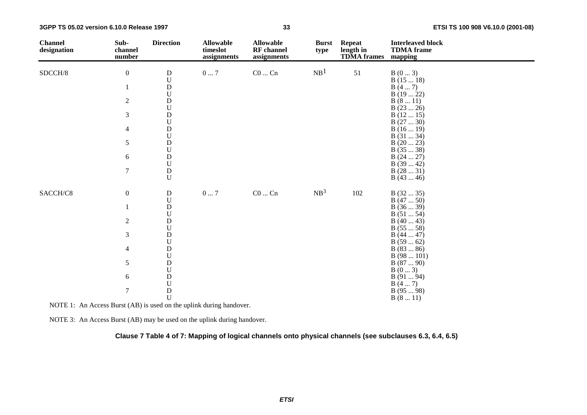| <b>Channel</b><br>designation | Sub-<br>channel<br>number | <b>Direction</b>                       | <b>Allowable</b><br>timeslot<br>assignments | <b>Allowable</b><br>RF channel<br>assignments | <b>Burst</b><br>type | <b>Repeat</b><br>length in<br><b>TDMA</b> frames | <b>Interleaved block</b><br><b>TDMA</b> frame<br>mapping |
|-------------------------------|---------------------------|----------------------------------------|---------------------------------------------|-----------------------------------------------|----------------------|--------------------------------------------------|----------------------------------------------------------|
| SDCCH/8                       | $\boldsymbol{0}$          | $\mathbf D$                            | $0\ldots7$                                  | $\rm CO$ $\rm Cn$                             | NB <sup>1</sup>      | 51                                               | B(03)                                                    |
|                               |                           | $\mathbf U$                            |                                             |                                               |                      |                                                  | B(1518)                                                  |
|                               | $\mathbf{1}$              | ${\bf D}$                              |                                             |                                               |                      |                                                  | B(47)                                                    |
|                               |                           | ${\bf U}$                              |                                             |                                               |                      |                                                  | B(1922)                                                  |
|                               | $\sqrt{2}$                | ${\bf D}$                              |                                             |                                               |                      |                                                  | B(811)                                                   |
|                               |                           | $\boldsymbol{\mathsf{U}}$              |                                             |                                               |                      |                                                  | B(2326)                                                  |
|                               | 3                         | ${\rm D}$                              |                                             |                                               |                      |                                                  | B(1215)                                                  |
|                               |                           | $\boldsymbol{\mathsf{U}}$<br>${\bf D}$ |                                             |                                               |                      |                                                  | B(2730)                                                  |
|                               | 4                         | $\boldsymbol{\mathsf{U}}$              |                                             |                                               |                      |                                                  | B(1619)<br>B(3134)                                       |
|                               | 5                         | ${\bf D}$                              |                                             |                                               |                      |                                                  | B(2023)                                                  |
|                               |                           | $\boldsymbol{\mathsf{U}}$              |                                             |                                               |                      |                                                  | B(3538)                                                  |
|                               | 6                         | ${\rm D}$                              |                                             |                                               |                      |                                                  | B(2427)                                                  |
|                               |                           | $\boldsymbol{\mathsf{U}}$              |                                             |                                               |                      |                                                  | B(3942)                                                  |
|                               | $\tau$                    | ${\rm D}$                              |                                             |                                               |                      |                                                  | B(2831)                                                  |
|                               |                           | $\mathbf U$                            |                                             |                                               |                      |                                                  | B(4346)                                                  |
| SACCH/C8                      | $\boldsymbol{0}$          | ${\bf D}$                              | $0\ldots7$                                  | $\rm CO$ $\ldots$ $\rm Cn$                    | NB <sup>3</sup>      | 102                                              | B(3235)                                                  |
|                               |                           | ${\bf U}$                              |                                             |                                               |                      |                                                  | B(4750)                                                  |
|                               | 1                         | ${\bf D}$                              |                                             |                                               |                      |                                                  | B(3639)                                                  |
|                               |                           | $\mathbf U$                            |                                             |                                               |                      |                                                  | B(5154)                                                  |
|                               | $\overline{c}$            | $\mathbf D$                            |                                             |                                               |                      |                                                  | B(4043)                                                  |
|                               |                           | ${\bf U}$                              |                                             |                                               |                      |                                                  | B(5558)                                                  |
|                               | 3                         | ${\bf D}$<br>$\mathbf U$               |                                             |                                               |                      |                                                  | B(4447)<br>B(5962)                                       |
|                               | $\overline{4}$            | ${\rm D}$                              |                                             |                                               |                      |                                                  | B(8386)                                                  |
|                               |                           | ${\bf U}$                              |                                             |                                               |                      |                                                  | B(98101)                                                 |
|                               | 5                         | ${\bf D}$                              |                                             |                                               |                      |                                                  | B(8790)                                                  |
|                               |                           | $\mathbf U$                            |                                             |                                               |                      |                                                  | B(03)                                                    |
|                               | 6                         | ${\bf D}$                              |                                             |                                               |                      |                                                  | B(9194)                                                  |
|                               |                           | $\mathbf U$                            |                                             |                                               |                      |                                                  | B(47)                                                    |
|                               | $\tau$                    | $\rm \frac{D}{U}$                      |                                             |                                               |                      |                                                  | B(9598)                                                  |
|                               |                           |                                        |                                             |                                               |                      |                                                  | B(811)                                                   |

NOTE 1: An Access Burst (AB) is used on the uplink during handover.

NOTE 3: An Access Burst (AB) may be used on the uplink during handover.

**Clause 7 Table 4 of 7: Mapping of logical channels onto physical channels (see subclauses 6.3, 6.4, 6.5)**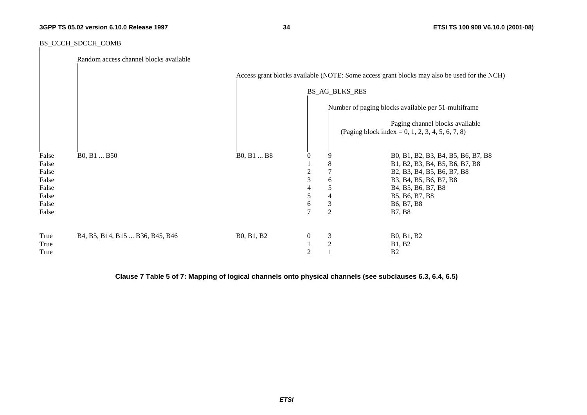**34 ETSI TS 100 908 V6.10.0 (2001-08)**

#### BS\_CCCH\_SDCCH\_COMB

|                | Random access channel blocks available |            |                  |                       |                                                                                                      |
|----------------|----------------------------------------|------------|------------------|-----------------------|------------------------------------------------------------------------------------------------------|
|                |                                        |            |                  |                       | Access grant blocks available (NOTE: Some access grant blocks may also be used for the NCH)          |
|                |                                        |            |                  | <b>BS_AG_BLKS_RES</b> |                                                                                                      |
|                |                                        |            |                  |                       | Number of paging blocks available per 51-multiframe                                                  |
|                |                                        |            |                  |                       | Paging channel blocks available<br>(Paging block index = 0, 1, 2, 3, 4, 5, 6, 7, 8)                  |
| False          | B0, B1  B50                            | B0, B1  B8 | $\mathbf{0}$     | 9                     | B0, B1, B2, B3, B4, B5, B6, B7, B8                                                                   |
| False<br>False |                                        |            | 2                | 8<br>7                | B1, B2, B3, B4, B5, B6, B7, B8<br>B2, B3, B4, B5, B6, B7, B8                                         |
| False          |                                        |            | 3                | 6                     | B3, B4, B5, B6, B7, B8                                                                               |
| False<br>False |                                        |            | 4<br>5           | 5<br>4                | B <sub>4</sub> , B <sub>5</sub> , B <sub>6</sub> , B <sub>7</sub> , B <sub>8</sub><br>B5, B6, B7, B8 |
| False          |                                        |            | 6                | $\mathfrak{Z}$        | B6, B7, B8                                                                                           |
| False          |                                        |            | $\overline{7}$   | $\overline{2}$        | <b>B7, B8</b>                                                                                        |
| True           | B4, B5, B14, B15  B36, B45, B46        | B0, B1, B2 | $\boldsymbol{0}$ | 3                     | B0, B1, B2                                                                                           |
| True           |                                        |            |                  | $\overline{2}$        | <b>B1</b> , <b>B2</b>                                                                                |
| True           |                                        |            | 2                |                       | B <sub>2</sub>                                                                                       |

**Clause 7 Table 5 of 7: Mapping of logical channels onto physical channels (see subclauses 6.3, 6.4, 6.5)**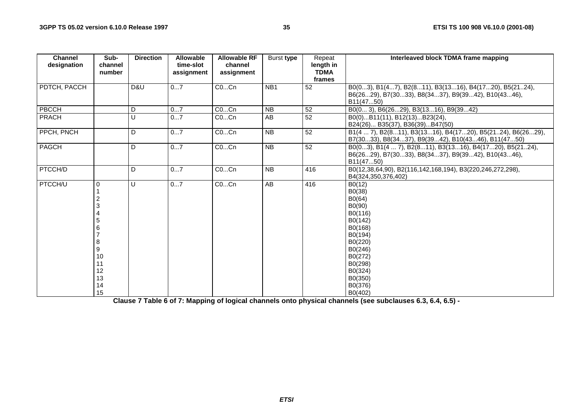| <b>Channel</b><br>designation | Sub-<br>channel                                        | <b>Direction</b> | <b>Allowable</b><br>time-slot | <b>Allowable RF</b><br>channel | Burst type      | Repeat<br>length in   | Interleaved block TDMA frame mapping                                                                                                                                     |
|-------------------------------|--------------------------------------------------------|------------------|-------------------------------|--------------------------------|-----------------|-----------------------|--------------------------------------------------------------------------------------------------------------------------------------------------------------------------|
|                               | number                                                 |                  | assignment                    | assignment                     |                 | <b>TDMA</b><br>frames |                                                                                                                                                                          |
| PDTCH, PACCH                  |                                                        | D&U              | 07                            | COCn                           | NB <sub>1</sub> | 52                    | B0(03), B1(47), B2(811), B3(1316), B4(1720), B5(2124),<br>B6(2629), B7(3033), B8(3437), B9(3942), B10(4346),<br>B11(4750)                                                |
| <b>PBCCH</b>                  |                                                        | D                | 07                            | COCn                           | <b>NB</b>       | 52                    | B0(0 3), B6(2629), B3(1316), B9(3942)                                                                                                                                    |
| PRACH                         |                                                        | U                | 07                            | COCn                           | $\overline{AB}$ | 52                    | B0(0)B11(11), B12(13)B23(24),<br>B24(26) B35(37), B36(39)B47(50)                                                                                                         |
| PPCH, PNCH                    |                                                        | D                | 07                            | COCn                           | $\overline{NB}$ | $\overline{52}$       | B1(4  7), B2(811), B3(1316), B4(1720), B5(2124), B6(2629),<br>B7(3033), B8(3437), B9(3942), B10(4346), B11(4750)                                                         |
| PAGCH                         |                                                        | D                | 07                            | COCn                           | $\overline{NB}$ | $\overline{52}$       | B0(03), B1(4  7), B2(811), B3(1316), B4(1720), B5(2124),<br>B6(2629), B7(3033), B8(3437), B9(3942), B10(4346),<br>B11(4750)                                              |
| PTCCH/D                       |                                                        | D                | 07                            | $CO$ Cn                        | $\overline{NB}$ | 416                   | B0(12,38,64,90), B2(116,142,168,194), B3(220,246,272,298),<br>B4(324,350,376,402)                                                                                        |
| PTCCH/U                       | $\Omega$<br>8<br>9<br>10<br>11<br>12<br>13<br>14<br>15 | U                | 07                            | $CO$ Cn                        | AB              | 416                   | B0(12)<br>B0(38)<br>B0(64)<br>B0(90)<br>B0(116)<br>B0(142)<br>B0(168)<br>B0(194)<br>B0(220)<br>B0(246)<br>B0(272)<br>B0(298)<br>B0(324)<br>B0(350)<br>B0(376)<br>B0(402) |

**Clause 7 Table 6 of 7: Mapping of logical channels onto physical channels (see subclauses 6.3, 6.4, 6.5) -**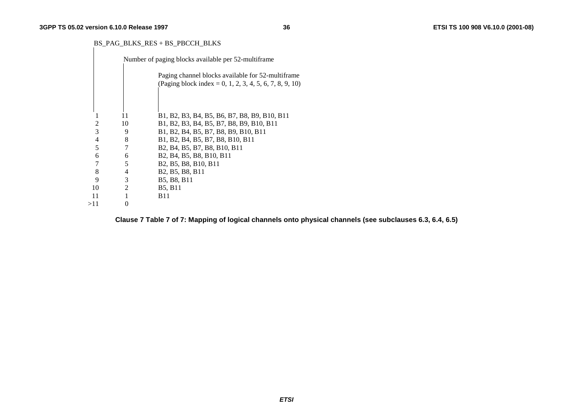#### BS\_PAG\_BLKS\_RES + BS\_PBCCH\_BLKS

|     |    |                | Number of paging blocks available per 52-multiframe                                                                    |
|-----|----|----------------|------------------------------------------------------------------------------------------------------------------------|
|     |    |                | Paging channel blocks available for 52-multiframe                                                                      |
|     |    |                | (Paging block index = 0, 1, 2, 3, 4, 5, 6, 7, 8, 9, 10)                                                                |
|     |    |                |                                                                                                                        |
|     |    |                |                                                                                                                        |
|     |    | 11             | B1, B2, B3, B4, B5, B6, B7, B8, B9, B10, B11                                                                           |
|     |    | 10             | B1, B2, B3, B4, B5, B7, B8, B9, B10, B11                                                                               |
|     | 3  | 9              | B1, B2, B4, B5, B7, B8, B9, B10, B11                                                                                   |
|     | 4  | 8              | B1, B2, B4, B5, B7, B8, B10, B11                                                                                       |
|     | 5  | 7              | B <sub>2</sub> , B <sub>4</sub> , B <sub>5</sub> , B <sub>7</sub> , B <sub>8</sub> , B <sub>10</sub> , B <sub>11</sub> |
|     | 6  | 6              | B2, B4, B5, B8, B10, B11                                                                                               |
|     |    | 5              | B <sub>2</sub> , B <sub>5</sub> , B <sub>8</sub> , B <sub>10</sub> , B <sub>11</sub>                                   |
|     | 8  | $\overline{4}$ | B <sub>2</sub> , B <sub>5</sub> , B <sub>8</sub> , B <sub>11</sub>                                                     |
|     | 9  | 3              | B5, B8, B11                                                                                                            |
|     | 10 | $\overline{c}$ | <b>B5, B11</b>                                                                                                         |
|     | 11 |                | B11                                                                                                                    |
| >11 |    | $\theta$       |                                                                                                                        |
|     |    |                |                                                                                                                        |

**Clause 7 Table 7 of 7: Mapping of logical channels onto physical channels (see subclauses 6.3, 6.4, 6.5)**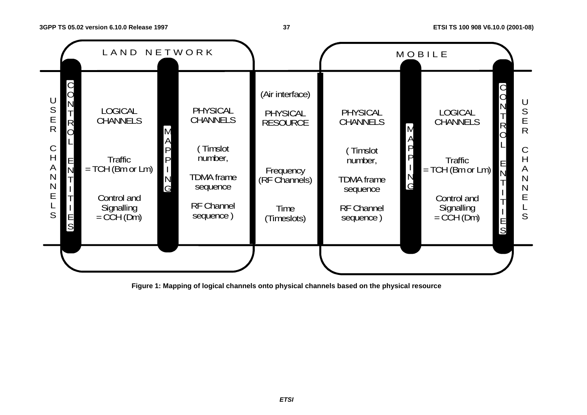#### **37 ETSI TS 100 908 V6.10.0 (2001-08)**



**Figure 1: Mapping of logical channels onto physical channels based on the physical resource** 

**ETSI**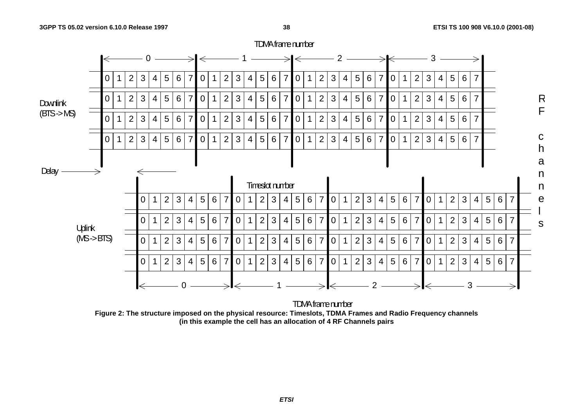

**Figure 2: The structure imposed on the physical resource: Timeslots, TDMA Frames and Radio Frequency channels (in this example the cell has an allocation of 4 RF Channels pairs**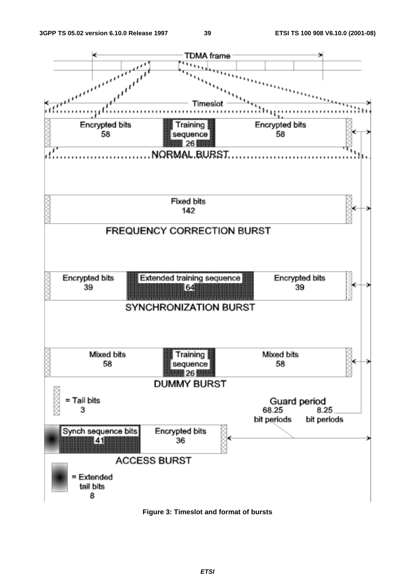

**Figure 3: Timeslot and format of bursts**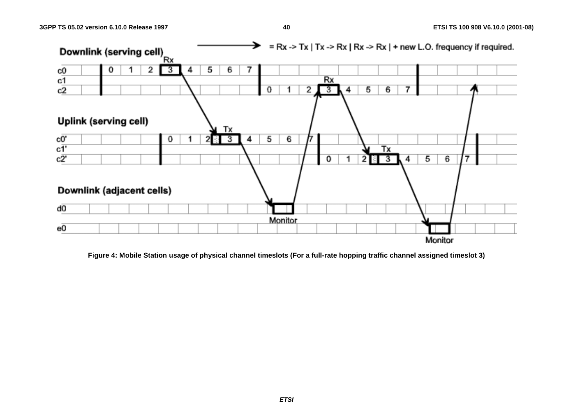

**Figure 4: Mobile Station usage of physical channel timeslots (For a full-rate hopping traffic channel assigned timeslot 3)**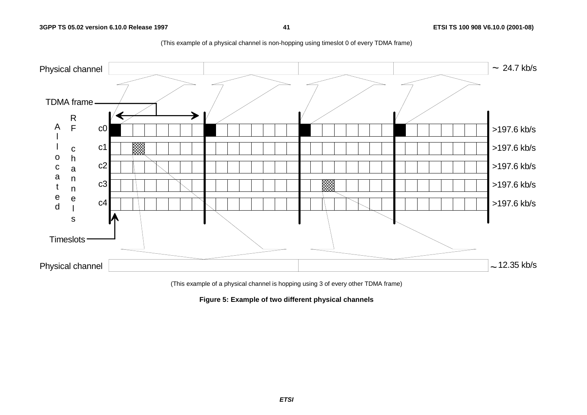

(This example of a physical channel is non-hopping using timeslot 0 of every TDMA frame)

(This example of a physical channel is hopping using 3 of every other TDMA frame)

**Figure 5: Example of two different physical channels**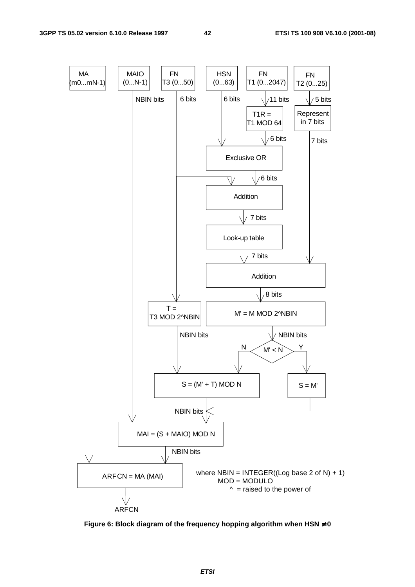

**Figure 6: Block diagram of the frequency hopping algorithm when HSN** ≠ **0**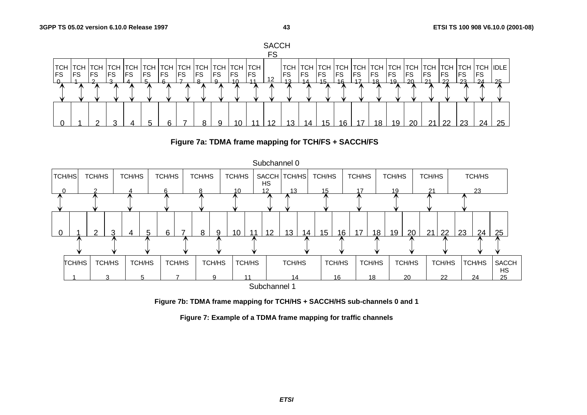





**Figure 7b: TDMA frame mapping for TCH/HS + SACCH/HS sub-channels 0 and 1** 

**Figure 7: Example of a TDMA frame mapping for traffic channels**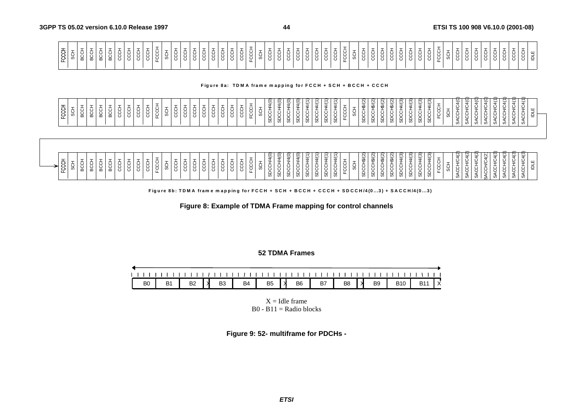|--|

#### Figure 8a: TDMA frame mapping for FCCH + SCH + BCCH + CCCH

| FCCH     | Ō<br>Ū.     | 六<br>င္ထ | -<br>ㅎ<br>요 | BCCH                               | Ō.<br>ပ္တ | <b>CCC</b> | CCC  | 5<br>S | <b>CCL</b> | ÷<br>Χ<br>Χ<br>노 | ÷<br>š                         | CCC      | ġ   | ġ<br>ჭ<br>ვ | 5<br>S | U<br>Ō | CCC    | ÷<br>š           | ◡<br>g           | ÷<br>ŝ                         | SDCCH/4(0)                           | ε<br>ġ.<br>ಜ                        | 4(0)<br>⇒<br>六<br>Χ<br>◡<br>ಜ | 1/4(0)<br>ġ<br>ಜ       | 4/(1)<br>ġ<br>ā       | 4/(1)<br>SDCCH | $\overline{\phantom{0}}$<br>₩.<br><b>SDCCH</b> | $\overline{ }$<br>ৼ<br>≛<br>č<br>ᢦ           | ÷<br>✕<br>ಜ | (5)<br>∯<br>ġ<br>မ္တ | SDCCH\$/(2) | 16/2<br>ġ<br>ದ       | 48/2<br>ಜ | 4(3)<br>-<br>ġ<br>င္တ    | $\frac{4}{3}$<br><b>SDCCH</b><br>ġ | <u>(৪)</u><br>(3)<br>4<br>4<br><b>SDCCH</b><br>မ္ဟ           | FCC                                       |   | 4(0)<br>5<br>ACCH             | ី<br>⊻<br>ပ<br>Ğ             | ័<br>\$<br>ġ<br>ィ<br>ω    | $\hat{\triangleleft}$<br>Š<br>ACCH<br>ωï | ₹<br>≥<br>÷<br>₹<br>Ø      | Z<br>≚<br>Õ<br>$\circ$      | $\check{ }$<br>ġ         | ⊻<br>ш<br>≛<br>₫<br>ပ္ပ                                    |  |
|----------|-------------|----------|-------------|------------------------------------|-----------|------------|------|--------|------------|------------------|--------------------------------|----------|-----|-------------|--------|--------|--------|------------------|------------------|--------------------------------|--------------------------------------|-------------------------------------|-------------------------------|------------------------|-----------------------|----------------|------------------------------------------------|----------------------------------------------|-------------|----------------------|-------------|----------------------|-----------|--------------------------|------------------------------------|--------------------------------------------------------------|-------------------------------------------|---|-------------------------------|------------------------------|---------------------------|------------------------------------------|----------------------------|-----------------------------|--------------------------|------------------------------------------------------------|--|
| 풍<br>င္မ | -<br>5<br>S | 5CC      | ÷<br>ecch   | $\overline{\phantom{a}}$<br>ㅎ<br>요 | Ō<br>ပ္တ  | –<br>ġ     | CCC+ | ġ      | ÷<br>CCH   | ğ<br>x<br>노      | $\overline{\phantom{a}}$<br>ទី | –<br>CCC | CCC | CCH<br>ġ    | 5<br>S | ٮ      | 5<br>S | ÷<br>K<br>پ<br>C | ×<br>Χ<br>◡<br>ᄔ | $\overline{\phantom{a}}$<br>\$ | $\widetilde{4}$ (O)<br><b>SDCCH/</b> | $\widehat{\mathsf{S}}$<br>Ô.<br>မ္တ | 4(0)<br>⇒<br>ġ<br>မ္တ         | 1/4(0)<br><b>SDCCH</b> | 4/(1)<br><b>SDCCH</b> | 44(1)<br>SDCCH | $\overline{ }$<br>$4\sqrt{ }$<br>SDCCH         | $\overline{\phantom{0}}$<br>≍<br>š<br>노<br>ಜ | -<br>୪      | (5)<br>£<br>ġ<br>မ္တ | SDCCH\$/(2  | 18/2<br>ਨ੍<br>X<br>ಜ | 18/2<br>ಹ | (3)<br>₹<br><b>SDCCH</b> | $\frac{4}{3}$<br><b>SDCCH</b>      | ্যু<br>$\sqrt{3}$<br>4τ<br>4<br><b>SDCCH</b><br><b>SDCCH</b> | $\overline{\phantom{0}}$<br>÷<br>Ч<br>FCC | ø | 4(2)<br>g<br><b>ACCH</b><br>Ø | ₩<br>⊻<br>÷<br>ă<br>$\omega$ | ₩<br>Š<br>4CC<br>$\omega$ | 4(2)<br>Š<br>SACCH                       | ₩<br>⊻<br>÷<br>Χ<br>५<br>Ø | $\mathbf{+}$<br>⇒<br>ğ<br>Ø | 5<br>5S<br>P<br>$\omega$ | $\overline{a}$<br>⊻<br>$\frac{11}{2}$<br>六<br>بر<br>پ<br>Ø |  |



Figure 8b: TDMA frame mapping for FCCH + SCH + BCCH + CCCH + SDCCH/4(0...3) + SACCH/4(0...3)

**Figure 8: Example of TDMA Frame mapping for control channels** 

**52 TDMA Frames** 

| B <sub>0</sub> | B1   B2 $\vert$ X | B3 |  |  | B4 B5 X B6 B7 B8 X B9 B10 B11 X |  |  |  |
|----------------|-------------------|----|--|--|---------------------------------|--|--|--|

 $X =$ Idle frame  $B0 - B11 =$  Radio blocks

**Figure 9: 52- multiframe for PDCHs -**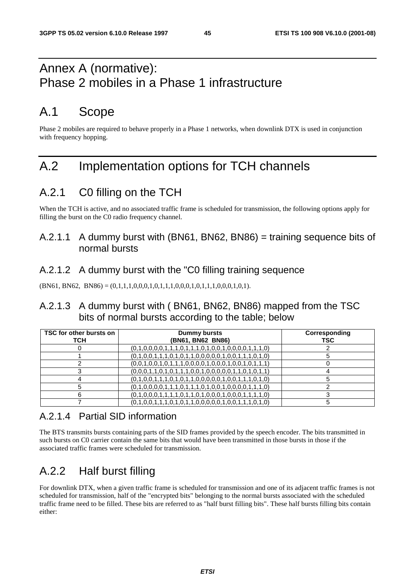## Annex A (normative): Phase 2 mobiles in a Phase 1 infrastructure

## A.1 Scope

Phase 2 mobiles are required to behave properly in a Phase 1 networks, when downlink DTX is used in conjunction with frequency hopping.

## A.2 Implementation options for TCH channels

## A.2.1 C0 filling on the TCH

When the TCH is active, and no associated traffic frame is scheduled for transmission, the following options apply for filling the burst on the C0 radio frequency channel.

### A.2.1.1 A dummy burst with (BN61, BN62, BN86) = training sequence bits of normal bursts

### A.2.1.2 A dummy burst with the "C0 filling training sequence

 $(BN61, BN62, BN86) = (0,1,1,1,0,0,0,1,0,1,1,1,0,0,0,1,0,1,1,1,0,0,0,1,0,1).$ 

### A.2.1.3 A dummy burst with ( BN61, BN62, BN86) mapped from the TSC bits of normal bursts according to the table; below

| TSC for other bursts on<br>тсн | <b>Dummy bursts</b><br>(BN61, BN62 BN86)                | Corresponding<br>TSC |
|--------------------------------|---------------------------------------------------------|----------------------|
|                                | $(0,1,0,0,0,0,1,1,1,0,1,1,1,0,1,0,0,1,0,0,0,0,1,1,1,0)$ |                      |
|                                | $(0,1,0,0,1,1,1,0,1,0,1,1,0,0,0,0,0,1,0,0,1,1,1,0,1,0)$ |                      |
|                                | $(0,0,1,0,0,1,0,1,1,1,0,0,0,0,1,0,0,0,1,0,0,1,0,1,1)$   |                      |
|                                | $(0,0,0,1,1,0,1,0,1,1,1,0,0,1,0,0,0,0,1,1,0,1,0,1,1)$   |                      |
|                                | $(0,1,0,0,1,1,1,0,1,0,1,1,0,0,0,0,0,1,0,0,1,1,1,0,1,0)$ |                      |
|                                | $(0,1,0,0,0,0,1,1,1,0,1,1,1,0,1,0,0,1,0,0,0,0,1,1,1,0)$ |                      |
|                                | $(0,1,0,0,0,1,1,1,1,0,1,1,0,1,0,0,0,1,0,0,0,1,1,1,1,0)$ |                      |
|                                | $(0,1,0,0,1,1,1,0,1,0,1,1,0,0,0,0,0,1,0,0,1,1,1,0,1,0)$ |                      |

### A.2.1.4 Partial SID information

The BTS transmits bursts containing parts of the SID frames provided by the speech encoder. The bits transmitted in such bursts on C0 carrier contain the same bits that would have been transmitted in those bursts in those if the associated traffic frames were scheduled for transmission.

## A.2.2 Half burst filling

For downlink DTX, when a given traffic frame is scheduled for transmission and one of its adjacent traffic frames is not scheduled for transmission, half of the "encrypted bits" belonging to the normal bursts associated with the scheduled traffic frame need to be filled. These bits are referred to as "half burst filling bits". These half bursts filling bits contain either: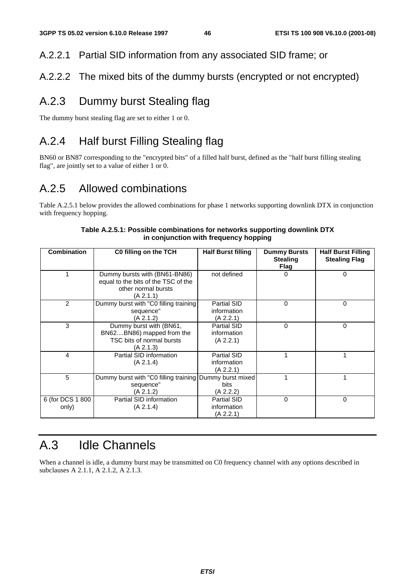### A.2.2.1 Partial SID information from any associated SID frame; or

### A.2.2.2 The mixed bits of the dummy bursts (encrypted or not encrypted)

## A.2.3 Dummy burst Stealing flag

The dummy burst stealing flag are set to either 1 or 0.

## A.2.4 Half burst Filling Stealing flag

BN60 or BN87 corresponding to the "encrypted bits" of a filled half burst, defined as the "half burst filling stealing flag", are jointly set to a value of either 1 or 0.

## A.2.5 Allowed combinations

Table A.2.5.1 below provides the allowed combinations for phase 1 networks supporting downlink DTX in conjunction with frequency hopping.

| Combination               | C0 filling on the TCH                                                                                    | <b>Half Burst filling</b>               | <b>Dummy Bursts</b><br><b>Stealing</b><br>Flag | <b>Half Burst Filling</b><br><b>Stealing Flag</b> |
|---------------------------|----------------------------------------------------------------------------------------------------------|-----------------------------------------|------------------------------------------------|---------------------------------------------------|
|                           | Dummy bursts with (BN61-BN86)<br>equal to the bits of the TSC of the<br>other normal bursts<br>(A 2.1.1) | not defined                             | $\Omega$                                       | 0                                                 |
| 2                         | Dummy burst with "C0 filling training<br>sequence"<br>(A 2.1.2)                                          | Partial SID<br>information<br>(A 2.2.1) | $\Omega$                                       | 0                                                 |
| 3                         | Dummy burst with (BN61,<br>BN62BN86) mapped from the<br>TSC bits of normal bursts<br>(A 2.1.3)           | Partial SID<br>information<br>(A 2.2.1) | $\Omega$                                       | $\Omega$                                          |
| 4                         | Partial SID information<br>(A 2.1.4)                                                                     | Partial SID<br>information<br>(A 2.2.1) |                                                |                                                   |
| 5                         | Dummy burst with "C0 filling training Dummy burst mixed<br>sequence"<br>(A 2.1.2)                        | bits<br>(A 2.2.2)                       |                                                | 1                                                 |
| 6 (for DCS 1 800<br>only) | Partial SID information<br>(A 2.1.4)                                                                     | Partial SID<br>information<br>(A 2.2.1) | $\Omega$                                       | 0                                                 |

#### **Table A.2.5.1: Possible combinations for networks supporting downlink DTX in conjunction with frequency hopping**

## A.3 Idle Channels

When a channel is idle, a dummy burst may be transmitted on C0 frequency channel with any options described in subclauses A 2.1.1, A 2.1.2, A 2.1.3.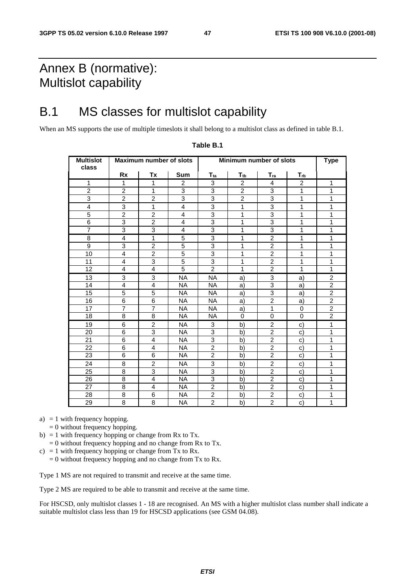## Annex B (normative): Multislot capability

## B.1 MS classes for multislot capability

When an MS supports the use of multiple timeslots it shall belong to a multislot class as defined in table B.1.

| <b>Multislot</b><br>class |                         | <b>Maximum number of slots</b> |                         | Minimum number of slots | <b>Type</b>              |                           |                          |                |
|---------------------------|-------------------------|--------------------------------|-------------------------|-------------------------|--------------------------|---------------------------|--------------------------|----------------|
|                           | <b>Rx</b>               | Tx                             | <b>Sum</b>              | $T_{ta}$                | $\mathsf{T}_{\text{tb}}$ | $T_{ra}$                  | $\mathbf{T}_{\text{rb}}$ |                |
| $\mathbf{1}$              | $\mathbf{1}$            | 1                              | $\overline{c}$          | 3                       | $\overline{2}$           | 4                         | $\overline{2}$           | $\mathbf{1}$   |
| $\overline{2}$            | $\overline{c}$          | 1                              | 3                       | 3                       | $\overline{2}$           | 3                         | $\mathbf{1}$             | 1              |
| $\overline{3}$            | $\overline{2}$          | $\overline{2}$                 | 3                       | $\overline{3}$          | $\overline{2}$           | $\overline{3}$            | $\mathbf{1}$             | $\mathbf{1}$   |
| $\overline{4}$            | 3                       | $\mathbf{1}$                   | 4                       | 3                       | $\mathbf{1}$             | 3                         | $\mathbf{1}$             | $\mathbf{1}$   |
| 5                         | $\overline{c}$          | $\overline{c}$                 | 4                       | 3                       | 1                        | $\ensuremath{\mathsf{3}}$ | 1                        | 1              |
| 6                         | 3                       | $\overline{2}$                 | 4                       | 3                       | 1                        | 3                         | 1                        | 1              |
| $\overline{7}$            | 3                       | 3                              | $\overline{\mathbf{4}}$ | 3                       | $\mathbf{1}$             | 3                         | $\mathbf{1}$             | $\mathbf{1}$   |
| 8                         | 4                       | $\mathbf{1}$                   | 5                       | 3                       | 1                        | $\boldsymbol{2}$          | $\mathbf{1}$             | $\mathbf{1}$   |
| $\overline{9}$            | 3                       | $\overline{2}$                 | $\overline{5}$          | $\overline{3}$          | 1                        | $\overline{2}$            | 1                        | 1              |
| 10                        | $\overline{\mathbf{4}}$ | $\overline{c}$                 | $\overline{5}$          | $\overline{3}$          | 1                        | $\overline{2}$            | 1                        | 1              |
| 11                        | 4                       | 3                              | $\overline{5}$          | 3                       | 1                        | $\overline{2}$            | 1                        | 1              |
| 12                        | 4                       | $\overline{4}$                 | 5                       | $\overline{2}$          | 1                        | $\overline{2}$            | 1                        | $\mathbf{1}$   |
| 13                        | 3                       | 3                              | <b>NA</b>               | <b>NA</b>               | a)                       | 3                         | a)                       | $\overline{c}$ |
| 14                        | 4                       | 4                              | <b>NA</b>               | <b>NA</b>               | a)                       | 3                         | a)                       | $\overline{2}$ |
| 15                        | 5                       | 5                              | <b>NA</b>               | <b>NA</b>               | a)                       | 3                         | a)                       | $\overline{2}$ |
| 16                        | $\overline{6}$          | $\overline{6}$                 | <b>NA</b>               | <b>NA</b>               | a)                       | $\overline{2}$            | a)                       | $\overline{2}$ |
| 17                        | $\overline{7}$          | $\overline{7}$                 | <b>NA</b>               | <b>NA</b>               | a)                       | $\mathbf{1}$              | 0                        | $\overline{2}$ |
| 18                        | 8                       | 8                              | NA                      | NA                      | 0                        | $\mathbf 0$               | $\Omega$                 | $\overline{2}$ |
| 19                        | 6                       | $\overline{2}$                 | <b>NA</b>               | 3                       | b)                       | $\overline{2}$            | c)                       | 1              |
| 20                        | 6                       | 3                              | <b>NA</b>               | 3                       | b)                       | $\overline{c}$            | C)                       | 1              |
| 21                        | 6                       | 4                              | <b>NA</b>               | 3                       | b)                       | $\overline{2}$            | c)                       | 1              |
| 22                        | 6                       | 4                              | <b>NA</b>               | $\overline{2}$          | b)                       | $\overline{2}$            | C)                       | 1              |
| 23                        | 6                       | 6                              | <b>NA</b>               | $\overline{c}$          | b)                       | $\overline{2}$            | C)                       | 1              |
| 24                        | 8                       | $\overline{c}$                 | <b>NA</b>               | 3                       | b)                       | $\overline{c}$            | c)                       | 1              |
| 25                        | 8                       | 3                              | <b>NA</b>               | 3                       | b)                       | $\overline{2}$            | C)                       | 1              |
| 26                        | 8                       | $\overline{4}$                 | <b>NA</b>               | $\overline{3}$          | b)                       | $\overline{2}$            | $\mathbf{C}$             | 1              |
| 27                        | 8                       | 4                              | <b>NA</b>               | $\overline{2}$          | b)                       | $\overline{2}$            | c)                       | 1              |
| 28                        | 8                       | 6                              | <b>NA</b>               | $\overline{c}$          | b)                       | $\overline{c}$            | C)                       | 1              |
| $\overline{29}$           | $\overline{8}$          | $\overline{8}$                 | <b>NA</b>               | $\overline{2}$          | b)                       | $\overline{2}$            | $\mathsf{c})$            | 1              |

#### **Table B.1**

a)  $= 1$  with frequency hopping.

- $= 0$  without frequency hopping.
- b) = 1 with frequency hopping or change from Rx to Tx.
	- $= 0$  without frequency hopping and no change from Rx to Tx.
- c) = 1 with frequency hopping or change from Tx to Rx.
- $= 0$  without frequency hopping and no change from Tx to Rx.

Type 1 MS are not required to transmit and receive at the same time.

Type 2 MS are required to be able to transmit and receive at the same time.

For HSCSD, only multislot classes 1 - 18 are recognised. An MS with a higher multislot class number shall indicate a suitable multislot class less than 19 for HSCSD applications (see GSM 04.08).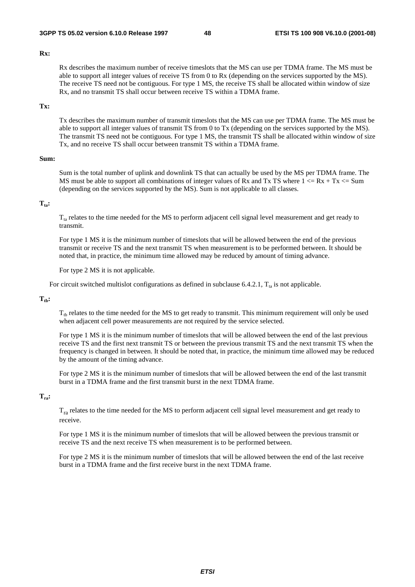#### **Rx:**

 Rx describes the maximum number of receive timeslots that the MS can use per TDMA frame. The MS must be able to support all integer values of receive TS from 0 to Rx (depending on the services supported by the MS). The receive TS need not be contiguous. For type 1 MS, the receive TS shall be allocated within window of size Rx, and no transmit TS shall occur between receive TS within a TDMA frame.

#### **Tx:**

 Tx describes the maximum number of transmit timeslots that the MS can use per TDMA frame. The MS must be able to support all integer values of transmit TS from 0 to Tx (depending on the services supported by the MS). The transmit TS need not be contiguous. For type 1 MS, the transmit TS shall be allocated within window of size Tx, and no receive TS shall occur between transmit TS within a TDMA frame.

#### **Sum:**

 Sum is the total number of uplink and downlink TS that can actually be used by the MS per TDMA frame. The MS must be able to support all combinations of integer values of Rx and Tx TS where  $1 \le Rx + Tx \le Sum$ (depending on the services supported by the MS). Sum is not applicable to all classes.

#### $T_{\text{ta}}$ :

 $T<sub>ta</sub>$  relates to the time needed for the MS to perform adjacent cell signal level measurement and get ready to transmit.

 For type 1 MS it is the minimum number of timeslots that will be allowed between the end of the previous transmit or receive TS and the next transmit TS when measurement is to be performed between. It should be noted that, in practice, the minimum time allowed may be reduced by amount of timing advance.

For type 2 MS it is not applicable.

For circuit switched multislot configurations as defined in subclause 6.4.2.1,  $T_{ta}$  is not applicable.

#### $T_{\text{th}}$ :

 $T_{th}$  relates to the time needed for the MS to get ready to transmit. This minimum requirement will only be used when adjacent cell power measurements are not required by the service selected.

 For type 1 MS it is the minimum number of timeslots that will be allowed between the end of the last previous receive TS and the first next transmit TS or between the previous transmit TS and the next transmit TS when the frequency is changed in between. It should be noted that, in practice, the minimum time allowed may be reduced by the amount of the timing advance.

 For type 2 MS it is the minimum number of timeslots that will be allowed between the end of the last transmit burst in a TDMA frame and the first transmit burst in the next TDMA frame.

#### **Tra:**

 Tra relates to the time needed for the MS to perform adjacent cell signal level measurement and get ready to receive.

 For type 1 MS it is the minimum number of timeslots that will be allowed between the previous transmit or receive TS and the next receive TS when measurement is to be performed between.

 For type 2 MS it is the minimum number of timeslots that will be allowed between the end of the last receive burst in a TDMA frame and the first receive burst in the next TDMA frame.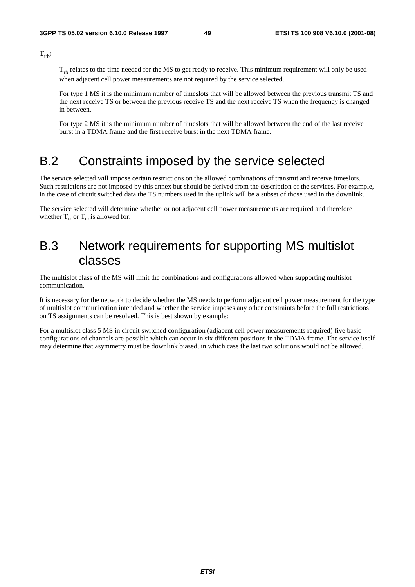$T_{rb}$ :

 $T_{rb}$  relates to the time needed for the MS to get ready to receive. This minimum requirement will only be used when adjacent cell power measurements are not required by the service selected.

 For type 1 MS it is the minimum number of timeslots that will be allowed between the previous transmit TS and the next receive TS or between the previous receive TS and the next receive TS when the frequency is changed in between.

 For type 2 MS it is the minimum number of timeslots that will be allowed between the end of the last receive burst in a TDMA frame and the first receive burst in the next TDMA frame.

## B.2 Constraints imposed by the service selected

The service selected will impose certain restrictions on the allowed combinations of transmit and receive timeslots. Such restrictions are not imposed by this annex but should be derived from the description of the services. For example, in the case of circuit switched data the TS numbers used in the uplink will be a subset of those used in the downlink.

The service selected will determine whether or not adjacent cell power measurements are required and therefore whether  $T_{ra}$  or  $T_{rb}$  is allowed for.

## B.3 Network requirements for supporting MS multislot classes

The multislot class of the MS will limit the combinations and configurations allowed when supporting multislot communication.

It is necessary for the network to decide whether the MS needs to perform adjacent cell power measurement for the type of multislot communication intended and whether the service imposes any other constraints before the full restrictions on TS assignments can be resolved. This is best shown by example:

For a multislot class 5 MS in circuit switched configuration (adjacent cell power measurements required) five basic configurations of channels are possible which can occur in six different positions in the TDMA frame. The service itself may determine that asymmetry must be downlink biased, in which case the last two solutions would not be allowed.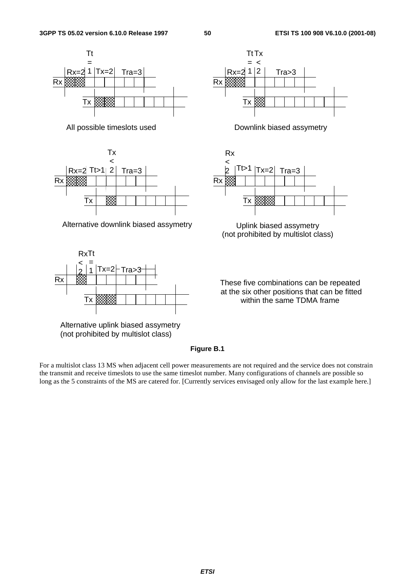







Alternative uplink biased assymetry (not prohibited by multislot class)



All possible timeslots used Downlink biased assymetry



(not prohibited by multislot class)

These five combinations can be repeated at the six other positions that can be fitted within the same TDMA frame

#### **Figure B.1**

For a multislot class 13 MS when adjacent cell power measurements are not required and the service does not constrain the transmit and receive timeslots to use the same timeslot number. Many configurations of channels are possible so long as the 5 constraints of the MS are catered for. [Currently services envisaged only allow for the last example here.]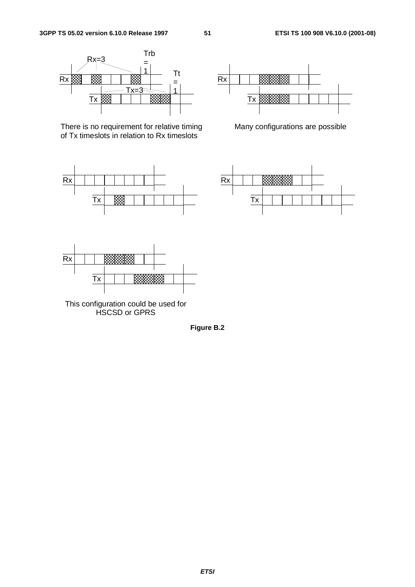

There is no requirement for relative timing of Tx timeslots in relation to Rx timeslots





Many configurations are possible





This configuration could be used for HSCSD or GPRS

**Figure B.2**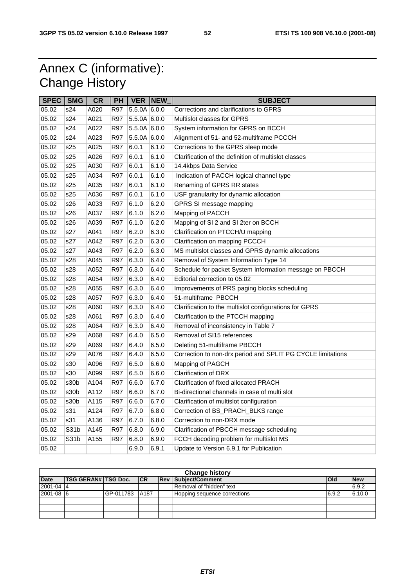## Annex C (informative): Change History

| <b>SPEC</b> | <b>SMG</b>        | <b>CR</b> | PH         |                | <b>VER NEW</b> | <b>SUBJECT</b>                                              |  |
|-------------|-------------------|-----------|------------|----------------|----------------|-------------------------------------------------------------|--|
| 05.02       | s24               | A020      | R97        | $5.5.0A$ 6.0.0 |                | Corrections and clarifications to GPRS                      |  |
| 05.02       | s24               | A021      | R97        | $5.5.0A$ 6.0.0 |                | Multislot classes for GPRS                                  |  |
| 05.02       | s24               | A022      | <b>R97</b> | $5.5.0A$ 6.0.0 |                | System information for GPRS on BCCH                         |  |
| 05.02       | s24               | A023      | <b>R97</b> | 5.5.0A 6.0.0   |                | Alignment of 51- and 52-multiframe PCCCH                    |  |
| 05.02       | s25               | A025      | <b>R97</b> | 6.0.1          | 6.1.0          | Corrections to the GPRS sleep mode                          |  |
| 05.02       | s25               | A026      | <b>R97</b> | 6.0.1          | 6.1.0          | Clarification of the definition of multislot classes        |  |
| 05.02       | s25               | A030      | R97        | 6.0.1          | 6.1.0          | 14.4kbps Data Service                                       |  |
| 05.02       | s25               | A034      | <b>R97</b> | 6.0.1          | 6.1.0          | Indication of PACCH logical channel type                    |  |
| 05.02       | s25               | A035      | R97        | 6.0.1          | 6.1.0          | Renaming of GPRS RR states                                  |  |
| 05.02       | s25               | A036      | <b>R97</b> | 6.0.1          | 6.1.0          | USF granularity for dynamic allocation                      |  |
| 05.02       | s26               | A033      | <b>R97</b> | 6.1.0          | 6.2.0          | GPRS SI message mapping                                     |  |
| 05.02       | s26               | A037      | <b>R97</b> | 6.1.0          | 6.2.0          | Mapping of PACCH                                            |  |
| 05.02       | s26               | A039      | <b>R97</b> | 6.1.0          | 6.2.0          | Mapping of SI 2 and SI 2ter on BCCH                         |  |
| 05.02       | s27               | A041      | R97        | 6.2.0          | 6.3.0          | Clarification on PTCCH/U mapping                            |  |
| 05.02       | s27               | A042      | <b>R97</b> | 6.2.0          | 6.3.0          | Clarification on mapping PCCCH                              |  |
| 05.02       | s27               | A043      | <b>R97</b> | 6.2.0          | 6.3.0          | MS multislot classes and GPRS dynamic allocations           |  |
| 05.02       | s28               | A045      | R97        | 6.3.0          | 6.4.0          | Removal of System Information Type 14                       |  |
| 05.02       | s28               | A052      | <b>R97</b> | 6.3.0          | 6.4.0          | Schedule for packet System Information message on PBCCH     |  |
| 05.02       | s28               | A054      | R97        | 6.3.0          | 6.4.0          | Editorial correction to 05.02                               |  |
| 05.02       | s28               | A055      | <b>R97</b> | 6.3.0          | 6.4.0          | Improvements of PRS paging blocks scheduling                |  |
| 05.02       | s28               | A057      | R97        | 6.3.0          | 6.4.0          | 51-multiframe PBCCH                                         |  |
| 05.02       | s28               | A060      | <b>R97</b> | 6.3.0          | 6.4.0          | Clarification to the multislot configurations for GPRS      |  |
| 05.02       | s28               | A061      | R97        | 6.3.0          | 6.4.0          | Clarification to the PTCCH mapping                          |  |
| 05.02       | s28               | A064      | <b>R97</b> | 6.3.0          | 6.4.0          | Removal of inconsistency in Table 7                         |  |
| 05.02       | s29               | A068      | R97        | 6.4.0          | 6.5.0          | Removal of SI15 references                                  |  |
| 05.02       | s29               | A069      | <b>R97</b> | 6.4.0          | 6.5.0          | Deleting 51-multiframe PBCCH                                |  |
| 05.02       | s29               | A076      | <b>R97</b> | 6.4.0          | 6.5.0          | Correction to non-drx period and SPLIT PG CYCLE limitations |  |
| 05.02       | s30               | A096      | R97        | 6.5.0          | 6.6.0          | Mapping of PAGCH                                            |  |
| 05.02       | s30               | A099      | <b>R97</b> | 6.5.0          | 6.6.0          | Clarification of DRX                                        |  |
| 05.02       | s30b              | A104      | R97        | 6.6.0          | 6.7.0          | Clarification of fixed allocated PRACH                      |  |
| 05.02       | s30b              | A112      | <b>R97</b> | 6.6.0          | 6.7.0          | Bi-directional channels in case of multi slot               |  |
| 05.02       | s30b              | A115      | <b>R97</b> | 6.6.0          | 6.7.0          | Clarification of multislot configuration                    |  |
| 05.02       | s31               | A124      | <b>R97</b> | 6.7.0          | 6.8.0          | Correction of BS_PRACH_BLKS range                           |  |
| 05.02       | s31               | A136      | <b>R97</b> | 6.7.0          | 6.8.0          | Correction to non-DRX mode                                  |  |
| 05.02       | S <sub>31</sub> b | A145      | R97        | 6.8.0          | 6.9.0          | Clarification of PBCCH message scheduling                   |  |
| 05.02       | S31b              | A155      | R97        | 6.8.0          | 6.9.0          | FCCH decoding problem for multislot MS                      |  |
| 05.02       |                   |           |            | 6.9.0          | 6.9.1          | Update to Version 6.9.1 for Publication                     |  |

| <b>Change history</b> |                            |           |      |  |                              |              |            |  |  |  |
|-----------------------|----------------------------|-----------|------|--|------------------------------|--------------|------------|--|--|--|
| <b>Date</b>           | <b>TSG GERAN# TSG Doc.</b> |           | CR   |  | <b>Rev Subject/Comment</b>   | <b>IOI</b> d | <b>New</b> |  |  |  |
| $2001 - 04$ 4         |                            |           |      |  | Removal of "hidden" text     |              | 6.9.2      |  |  |  |
| 2001-08 6             |                            | GP-011783 | A187 |  | Hopping sequence corrections | 6.9.2        | 6.10.0     |  |  |  |
|                       |                            |           |      |  |                              |              |            |  |  |  |
|                       |                            |           |      |  |                              |              |            |  |  |  |
|                       |                            |           |      |  |                              |              |            |  |  |  |